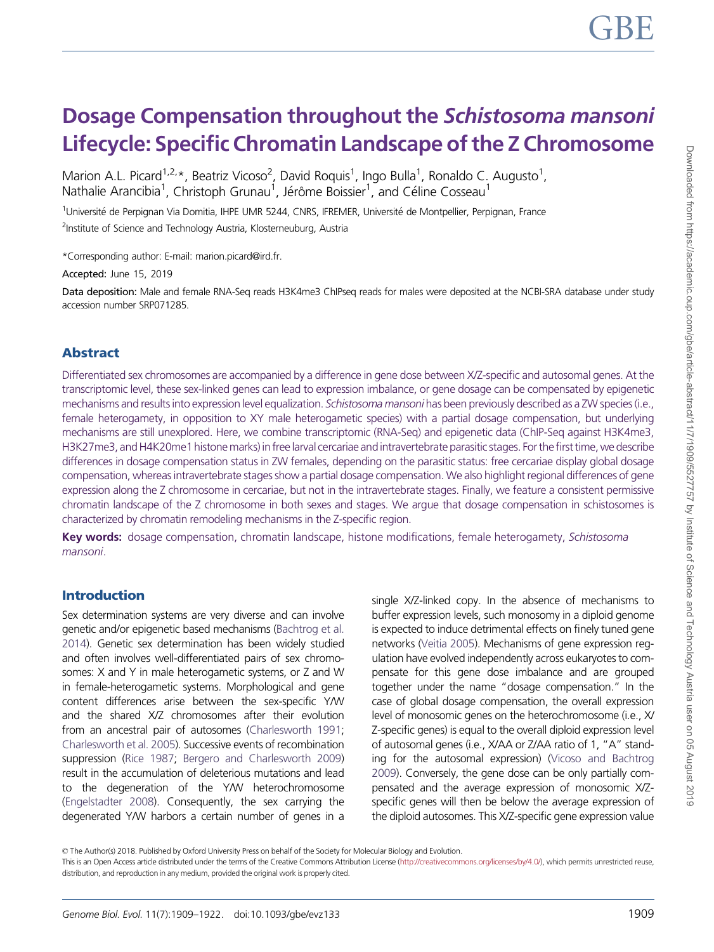# Dosage Compensation throughout the Schistosoma mansoni Lifecycle: Specific Chromatin Landscape of the Z Chromosome

Marion A.L. Picard<sup>1,2,\*</sup>, Beatriz Vicoso<sup>2</sup>, David Roquis<sup>1</sup>, Ingo Bulla<sup>1</sup>, Ronaldo C. Augusto<sup>1</sup>, Nathalie Arancibia<sup>1</sup>, Christoph Grunau<sup>1</sup>, Jérôme Boissier<sup>1</sup>, and Céline Cosseau<sup>1</sup>

<sup>1</sup>Université de Perpignan Via Domitia, IHPE UMR 5244, CNRS, IFREMER, Université de Montpellier, Perpignan, France

<sup>2</sup>Institute of Science and Technology Austria, Klosterneuburg, Austria

\*Corresponding author: E-mail: marion.picard@ird.fr.

Accepted: June 15, 2019

Data deposition: Male and female RNA-Seq reads H3K4me3 ChIPseq reads for males were deposited at the NCBI-SRA database under study accession number SRP071285.

## Abstract

Differentiated sex chromosomes are accompanied by a difference in gene dose between X/Z-specific and autosomal genes. At the transcriptomic level, these sex-linked genes can lead to expression imbalance, or gene dosage can be compensated by epigenetic mechanisms and results into expression level equalization. Schistosoma mansoni has been previously described as a ZW species (i.e., female heterogamety, in opposition to XY male heterogametic species) with a partial dosage compensation, but underlying mechanisms are still unexplored. Here, we combine transcriptomic (RNA-Seq) and epigenetic data (ChIP-Seq against H3K4me3, H3K27me3, and H4K20me1 histone marks) in free larval cercariae and intravertebrate parasitic stages. For the first time, we describe differences in dosage compensation status in ZW females, depending on the parasitic status: free cercariae display global dosage compensation, whereas intravertebrate stages show a partial dosage compensation. We also highlight regional differences of gene expression along the Z chromosome in cercariae, but not in the intravertebrate stages. Finally, we feature a consistent permissive chromatin landscape of the Z chromosome in both sexes and stages. We argue that dosage compensation in schistosomes is characterized by chromatin remodeling mechanisms in the Z-specific region.

Key words: dosage compensation, chromatin landscape, histone modifications, female heterogamety, Schistosoma mansoni.

## Introduction

Sex determination systems are very diverse and can involve genetic and/or epigenetic based mechanisms ([Bachtrog et al.](#page-11-0) [2014](#page-11-0)). Genetic sex determination has been widely studied and often involves well-differentiated pairs of sex chromosomes: X and Y in male heterogametic systems, or Z and W in female-heterogametic systems. Morphological and gene content differences arise between the sex-specific Y/W and the shared X/Z chromosomes after their evolution from an ancestral pair of autosomes [\(Charlesworth 1991;](#page-11-0) [Charlesworth et al. 2005](#page-11-0)). Successive events of recombination suppression [\(Rice 1987](#page-12-0); [Bergero and Charlesworth 2009\)](#page-11-0) result in the accumulation of deleterious mutations and lead to the degeneration of the Y/W heterochromosome [\(Engelstadter 2008](#page-11-0)). Consequently, the sex carrying the degenerated Y/W harbors a certain number of genes in a

single X/Z-linked copy. In the absence of mechanisms to buffer expression levels, such monosomy in a diploid genome is expected to induce detrimental effects on finely tuned gene networks [\(Veitia 2005\)](#page-12-0). Mechanisms of gene expression regulation have evolved independently across eukaryotes to compensate for this gene dose imbalance and are grouped together under the name "dosage compensation." In the case of global dosage compensation, the overall expression level of monosomic genes on the heterochromosome (i.e., X/ Z-specific genes) is equal to the overall diploid expression level of autosomal genes (i.e., X/AA or Z/AA ratio of 1, "A" standing for the autosomal expression) ([Vicoso and Bachtrog](#page-12-0) [2009\)](#page-12-0). Conversely, the gene dose can be only partially compensated and the average expression of monosomic X/Zspecific genes will then be below the average expression of the diploid autosomes. This X/Z-specific gene expression value

This is an Open Access article distributed under the terms of the Creative Commons Attribution License ([http://creativecommons.org/licenses/by/4.0/\)](Undefined namespace prefix
xmlXPathCompOpEval: parameter error
xmlXPathEval: evaluation failed
), which permits unrestricted reuse, distribution, and reproduction in any medium, provided the original work is properly cited.

<sup>©</sup> The Author(s) 2018. Published by Oxford University Press on behalf of the Society for Molecular Biology and Evolution.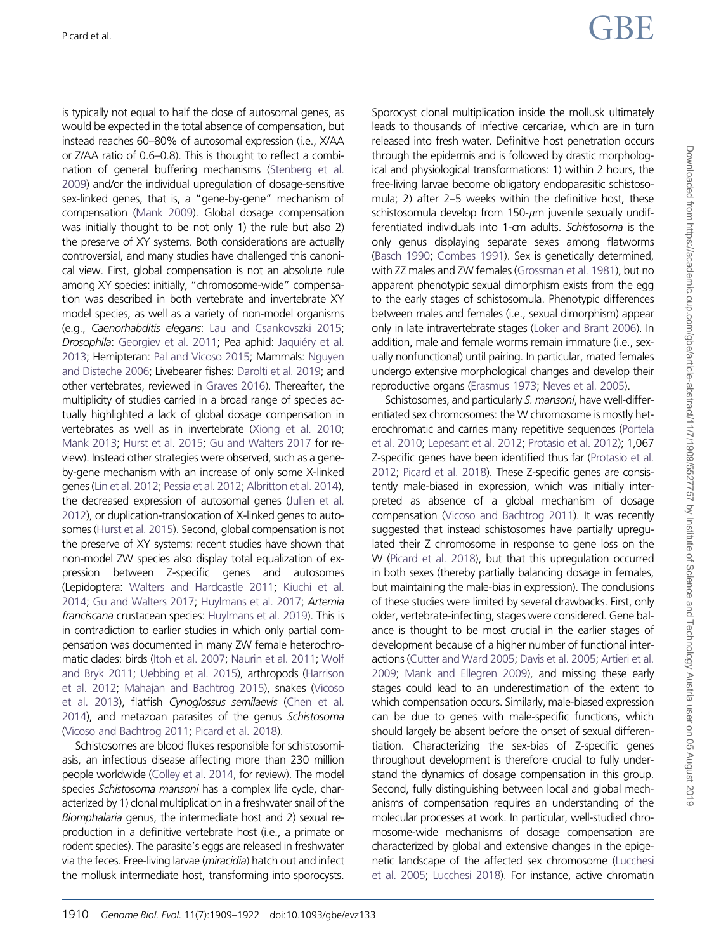is typically not equal to half the dose of autosomal genes, as would be expected in the total absence of compensation, but instead reaches 60–80% of autosomal expression (i.e., X/AA or Z/AA ratio of 0.6–0.8). This is thought to reflect a combination of general buffering mechanisms [\(Stenberg et al.](#page-12-0) [2009](#page-12-0)) and/or the individual upregulation of dosage-sensitive sex-linked genes, that is, a "gene-by-gene" mechanism of compensation [\(Mank 2009\)](#page-12-0). Global dosage compensation was initially thought to be not only 1) the rule but also 2) the preserve of XY systems. Both considerations are actually controversial, and many studies have challenged this canonical view. First, global compensation is not an absolute rule among XY species: initially, "chromosome-wide" compensation was described in both vertebrate and invertebrate XY model species, as well as a variety of non-model organisms (e.g., Caenorhabditis elegans: [Lau and Csankovszki 2015;](#page-12-0) Drosophila: [Georgiev et al. 2011](#page-11-0); Pea aphid: [Jaqui](#page-11-0)é[ry et al.](#page-11-0) [2013](#page-11-0); Hemipteran: [Pal and Vicoso 2015](#page-12-0); Mammals: [Nguyen](#page-12-0) [and Disteche 2006](#page-12-0); Livebearer fishes: [Darolti et al. 2019;](#page-11-0) and other vertebrates, reviewed in [Graves 2016](#page-11-0)). Thereafter, the multiplicity of studies carried in a broad range of species actually highlighted a lack of global dosage compensation in vertebrates as well as in invertebrate [\(Xiong et al. 2010;](#page-13-0) [Mank 2013](#page-12-0); [Hurst et al. 2015](#page-11-0); [Gu and Walters 2017](#page-11-0) for review). Instead other strategies were observed, such as a geneby-gene mechanism with an increase of only some X-linked genes [\(Lin et al. 2012](#page-12-0); [Pessia et al. 2012;](#page-12-0) [Albritton et al. 2014](#page-11-0)), the decreased expression of autosomal genes [\(Julien et al.](#page-11-0) [2012](#page-11-0)), or duplication-translocation of X-linked genes to autosomes ([Hurst et al. 2015](#page-11-0)). Second, global compensation is not the preserve of XY systems: recent studies have shown that non-model ZW species also display total equalization of expression between Z-specific genes and autosomes (Lepidoptera: [Walters and Hardcastle 2011](#page-13-0); [Kiuchi et al.](#page-11-0) [2014](#page-11-0); [Gu and Walters 2017](#page-11-0); [Huylmans et al. 2017](#page-11-0); Artemia franciscana crustacean species: [Huylmans et al. 2019](#page-11-0)). This is in contradiction to earlier studies in which only partial compensation was documented in many ZW female heterochromatic clades: birds [\(Itoh et al. 2007;](#page-11-0) [Naurin et al. 2011](#page-12-0); [Wolf](#page-13-0) [and Bryk 2011;](#page-13-0) [Uebbing et al. 2015\)](#page-12-0), arthropods [\(Harrison](#page-11-0) [et al. 2012](#page-11-0); [Mahajan and Bachtrog 2015](#page-12-0)), snakes [\(Vicoso](#page-12-0) [et al. 2013](#page-12-0)), flatfish Cynoglossus semilaevis [\(Chen et al.](#page-11-0) [2014\)](#page-11-0), and metazoan parasites of the genus Schistosoma [\(Vicoso and Bachtrog 2011;](#page-12-0) [Picard et al. 2018](#page-12-0)).

Schistosomes are blood flukes responsible for schistosomiasis, an infectious disease affecting more than 230 million people worldwide ([Colley et al. 2014,](#page-11-0) for review). The model species Schistosoma mansoni has a complex life cycle, characterized by 1) clonal multiplication in a freshwater snail of the Biomphalaria genus, the intermediate host and 2) sexual reproduction in a definitive vertebrate host (i.e., a primate or rodent species). The parasite's eggs are released in freshwater via the feces. Free-living larvae (miracidia) hatch out and infect the mollusk intermediate host, transforming into sporocysts.

Sporocyst clonal multiplication inside the mollusk ultimately leads to thousands of infective cercariae, which are in turn released into fresh water. Definitive host penetration occurs through the epidermis and is followed by drastic morphological and physiological transformations: 1) within 2 hours, the free-living larvae become obligatory endoparasitic schistosomula; 2) after 2–5 weeks within the definitive host, these schistosomula develop from 150- $\mu$ m juvenile sexually undifferentiated individuals into 1-cm adults. Schistosoma is the only genus displaying separate sexes among flatworms [\(Basch 1990;](#page-11-0) [Combes 1991\)](#page-11-0). Sex is genetically determined, with ZZ males and ZW females ([Grossman et al. 1981](#page-11-0)), but no apparent phenotypic sexual dimorphism exists from the egg to the early stages of schistosomula. Phenotypic differences between males and females (i.e., sexual dimorphism) appear only in late intravertebrate stages [\(Loker and Brant 2006\)](#page-12-0). In addition, male and female worms remain immature (i.e., sexually nonfunctional) until pairing. In particular, mated females undergo extensive morphological changes and develop their reproductive organs [\(Erasmus 1973;](#page-11-0) [Neves et al. 2005](#page-12-0)).

Schistosomes, and particularly S. mansoni, have well-differentiated sex chromosomes: the W chromosome is mostly heterochromatic and carries many repetitive sequences [\(Portela](#page-12-0) [et al. 2010](#page-12-0); [Lepesant et al. 2012;](#page-12-0) [Protasio et al. 2012\)](#page-12-0); 1,067 Z-specific genes have been identified thus far ([Protasio et al.](#page-12-0) [2012;](#page-12-0) [Picard et al. 2018\)](#page-12-0). These Z-specific genes are consistently male-biased in expression, which was initially interpreted as absence of a global mechanism of dosage compensation [\(Vicoso and Bachtrog 2011](#page-12-0)). It was recently suggested that instead schistosomes have partially upregulated their Z chromosome in response to gene loss on the W [\(Picard et al. 2018\)](#page-12-0), but that this upregulation occurred in both sexes (thereby partially balancing dosage in females, but maintaining the male-bias in expression). The conclusions of these studies were limited by several drawbacks. First, only older, vertebrate-infecting, stages were considered. Gene balance is thought to be most crucial in the earlier stages of development because of a higher number of functional interactions [\(Cutter and Ward 2005](#page-11-0); [Davis et al. 2005](#page-11-0); [Artieri et al.](#page-11-0) [2009;](#page-11-0) [Mank and Ellegren 2009\)](#page-12-0), and missing these early stages could lead to an underestimation of the extent to which compensation occurs. Similarly, male-biased expression can be due to genes with male-specific functions, which should largely be absent before the onset of sexual differentiation. Characterizing the sex-bias of Z-specific genes throughout development is therefore crucial to fully understand the dynamics of dosage compensation in this group. Second, fully distinguishing between local and global mechanisms of compensation requires an understanding of the molecular processes at work. In particular, well-studied chromosome-wide mechanisms of dosage compensation are characterized by global and extensive changes in the epigenetic landscape of the affected sex chromosome ([Lucchesi](#page-12-0) [et al. 2005;](#page-12-0) [Lucchesi 2018\)](#page-12-0). For instance, active chromatin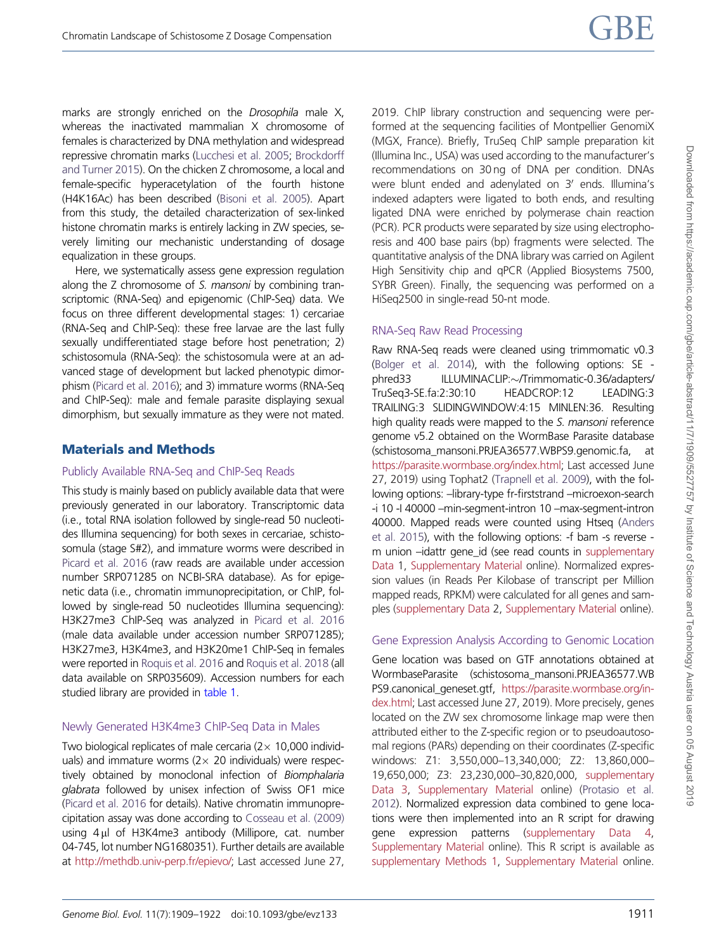marks are strongly enriched on the Drosophila male X, whereas the inactivated mammalian X chromosome of females is characterized by DNA methylation and widespread repressive chromatin marks [\(Lucchesi et al. 2005](#page-12-0); [Brockdorff](#page-11-0) [and Turner 2015](#page-11-0)). On the chicken Z chromosome, a local and female-specific hyperacetylation of the fourth histone (H4K16Ac) has been described [\(Bisoni et al. 2005](#page-11-0)). Apart from this study, the detailed characterization of sex-linked histone chromatin marks is entirely lacking in ZW species, severely limiting our mechanistic understanding of dosage equalization in these groups.

Here, we systematically assess gene expression regulation along the Z chromosome of S. mansoni by combining transcriptomic (RNA-Seq) and epigenomic (ChIP-Seq) data. We focus on three different developmental stages: 1) cercariae (RNA-Seq and ChIP-Seq): these free larvae are the last fully sexually undifferentiated stage before host penetration; 2) schistosomula (RNA-Seq): the schistosomula were at an advanced stage of development but lacked phenotypic dimorphism [\(Picard et al. 2016](#page-12-0)); and 3) immature worms (RNA-Seq and ChIP-Seq): male and female parasite displaying sexual dimorphism, but sexually immature as they were not mated.

## Materials and Methods

## Publicly Available RNA-Seq and ChIP-Seq Reads

This study is mainly based on publicly available data that were previously generated in our laboratory. Transcriptomic data (i.e., total RNA isolation followed by single-read 50 nucleotides Illumina sequencing) for both sexes in cercariae, schistosomula (stage S#2), and immature worms were described in [Picard et al. 2016](#page-12-0) (raw reads are available under accession number SRP071285 on NCBI-SRA database). As for epigenetic data (i.e., chromatin immunoprecipitation, or ChIP, followed by single-read 50 nucleotides Illumina sequencing): H3K27me3 ChIP-Seq was analyzed in [Picard et al. 2016](#page-12-0) (male data available under accession number SRP071285); H3K27me3, H3K4me3, and H3K20me1 ChIP-Seq in females were reported in [Roquis et al. 2016](#page-12-0) and [Roquis et al. 2018](#page-12-0) (all data available on SRP035609). Accession numbers for each studied library are provided in [table 1](#page-3-0).

## Newly Generated H3K4me3 ChIP-Seq Data in Males

Two biological replicates of male cercaria (2 $\times$  10,000 individuals) and immature worms (2 $\times$  20 individuals) were respectively obtained by monoclonal infection of Biomphalaria glabrata followed by unisex infection of Swiss OF1 mice [\(Picard et al. 2016](#page-12-0) for details). Native chromatin immunoprecipitation assay was done according to [Cosseau et al. \(2009\)](#page-11-0) using 4 µl of H3K4me3 antibody (Millipore, cat. number 04-745, lot number NG1680351). Further details are available at [http://methdb.univ-perp.fr/epievo/;](http://methdb.univ-perp.fr/epievo/) Last accessed June 27, 2019. ChIP library construction and sequencing were performed at the sequencing facilities of Montpellier GenomiX (MGX, France). Briefly, TruSeq ChIP sample preparation kit (Illumina Inc., USA) was used according to the manufacturer's recommendations on 30 ng of DNA per condition. DNAs were blunt ended and adenylated on 3' ends. Illumina's indexed adapters were ligated to both ends, and resulting ligated DNA were enriched by polymerase chain reaction (PCR). PCR products were separated by size using electrophoresis and 400 base pairs (bp) fragments were selected. The quantitative analysis of the DNA library was carried on Agilent High Sensitivity chip and qPCR (Applied Biosystems 7500, SYBR Green). Finally, the sequencing was performed on a HiSeq2500 in single-read 50-nt mode.

## RNA-Seq Raw Read Processing

Raw RNA-Seq reads were cleaned using trimmomatic v0.3 [\(Bolger et al. 2014](#page-11-0)), with the following options: SE phred33 ILLUMINACLIP:~/Trimmomatic-0.36/adapters/ TruSeq3-SE.fa:2:30:10 HEADCROP:12 LEADING:3 TRAILING:3 SLIDINGWINDOW:4:15 MINLEN:36. Resulting high quality reads were mapped to the S. mansoni reference genome v5.2 obtained on the WormBase Parasite database (schistosoma\_mansoni.PRJEA36577.WBPS9.genomic.fa, at <https://parasite.wormbase.org/index.html>; Last accessed June 27, 2019) using Tophat2 [\(Trapnell et al. 2009](#page-12-0)), with the following options: –library-type fr-firststrand –microexon-search -i 10 -I 40000 –min-segment-intron 10 –max-segment-intron 40000. Mapped reads were counted using Htseq ([Anders](#page-11-0) [et al. 2015\)](#page-11-0), with the following options: -f bam -s reverse m union –idattr gene\_id (see read counts in [supplementary](https://academic.oup.com/gbe/article-lookup/doi/10.1093/gbe/evz133#supplementary-data) [Data](https://academic.oup.com/gbe/article-lookup/doi/10.1093/gbe/evz133#supplementary-data) 1, [Supplementary Material](https://academic.oup.com/gbe/article-lookup/doi/10.1093/gbe/evz133#supplementary-data) online). Normalized expression values (in Reads Per Kilobase of transcript per Million mapped reads, RPKM) were calculated for all genes and samples ([supplementary Data](https://academic.oup.com/gbe/article-lookup/doi/10.1093/gbe/evz133#supplementary-data) 2, [Supplementary Material](https://academic.oup.com/gbe/article-lookup/doi/10.1093/gbe/evz133#supplementary-data) online).

## Gene Expression Analysis According to Genomic Location

Gene location was based on GTF annotations obtained at WormbaseParasite (schistosoma\_mansoni.PRJEA36577.WB PS9.canonical\_geneset.gtf, [https://parasite.wormbase.org/in](https://parasite.wormbase.org/index.html)[dex.html;](https://parasite.wormbase.org/index.html) Last accessed June 27, 2019). More precisely, genes located on the ZW sex chromosome linkage map were then attributed either to the Z-specific region or to pseudoautosomal regions (PARs) depending on their coordinates (Z-specific windows: Z1: 3,550,000–13,340,000; Z2: 13,860,000– 19,650,000; Z3: 23,230,000–30,820,000, [supplementary](https://academic.oup.com/gbe/article-lookup/doi/10.1093/gbe/evz133#supplementary-data) [Data 3,](https://academic.oup.com/gbe/article-lookup/doi/10.1093/gbe/evz133#supplementary-data) [Supplementary Material](https://academic.oup.com/gbe/article-lookup/doi/10.1093/gbe/evz133#supplementary-data) online) [\(Protasio et al.](#page-12-0) [2012\)](#page-12-0). Normalized expression data combined to gene locations were then implemented into an R script for drawing gene expression patterns [\(supplementary Data 4](https://academic.oup.com/gbe/article-lookup/doi/10.1093/gbe/evz133#supplementary-data), [Supplementary Material](https://academic.oup.com/gbe/article-lookup/doi/10.1093/gbe/evz133#supplementary-data) online). This R script is available as [supplementary Methods 1](https://academic.oup.com/gbe/article-lookup/doi/10.1093/gbe/evz133#supplementary-data), [Supplementary Material](https://academic.oup.com/gbe/article-lookup/doi/10.1093/gbe/evz133#supplementary-data) online.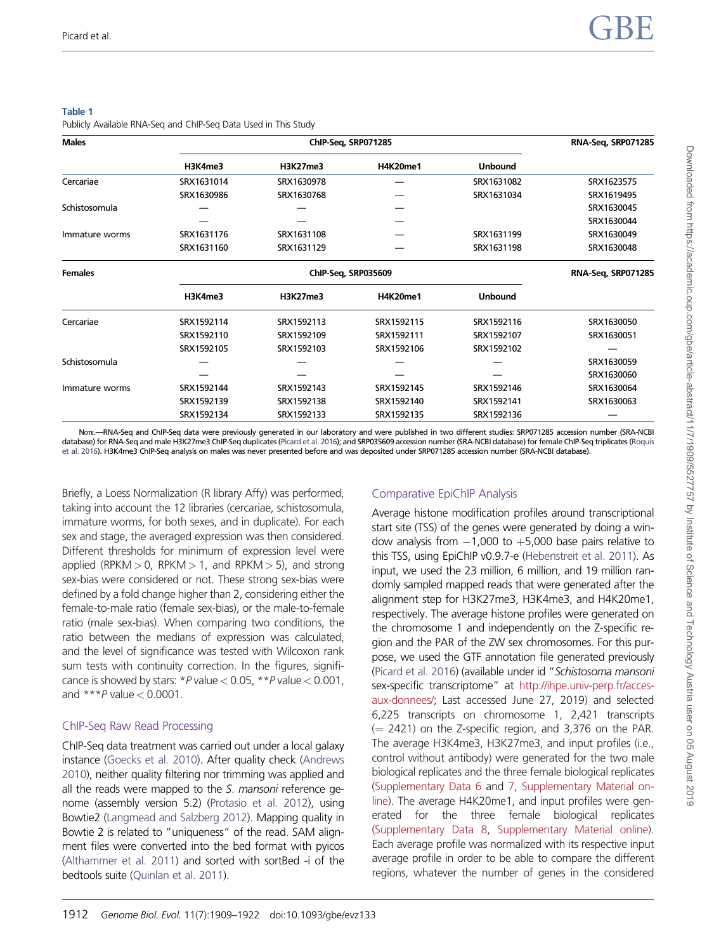#### <span id="page-3-0"></span>Table 1

Publicly Available RNA-Seq and ChIP-Seq Data Used in This Study

| <b>Males</b>   |            | RNA-Seq, SRP071285 |                 |                |            |
|----------------|------------|--------------------|-----------------|----------------|------------|
|                | H3K4me3    | H3K27me3           | <b>H4K20me1</b> | <b>Unbound</b> |            |
| Cercariae      | SRX1631014 | SRX1630978         |                 | SRX1631082     | SRX1623575 |
|                | SRX1630986 | SRX1630768         |                 | SRX1631034     | SRX1619495 |
| Schistosomula  |            |                    |                 |                | SRX1630045 |
|                |            |                    |                 |                | SRX1630044 |
| Immature worms | SRX1631176 | SRX1631108         |                 | SRX1631199     | SRX1630049 |
|                | SRX1631160 | SRX1631129         |                 | SRX1631198     | SRX1630048 |
| <b>Females</b> |            | RNA-Seq, SRP071285 |                 |                |            |
|                | H3K4me3    | H3K27me3           | <b>H4K20me1</b> | <b>Unbound</b> |            |
| Cercariae      | SRX1592114 | SRX1592113         | SRX1592115      | SRX1592116     | SRX1630050 |
|                | SRX1592110 | SRX1592109         | SRX1592111      | SRX1592107     | SRX1630051 |
|                | SRX1592105 | SRX1592103         | SRX1592106      | SRX1592102     |            |
| Schistosomula  |            |                    |                 |                | SRX1630059 |
|                |            |                    |                 |                | SRX1630060 |
| Immature worms | SRX1592144 | SRX1592143         | SRX1592145      | SRX1592146     | SRX1630064 |
|                | SRX1592139 | SRX1592138         | SRX1592140      | SRX1592141     | SRX1630063 |
|                | SRX1592134 | SRX1592133         | SRX1592135      | SRX1592136     |            |

NorE.--RNA-Seq and ChIP-Seq data were previously generated in our laboratory and were published in two different studies: SRP071285 accession number (SRA-NCBI database) for RNA-Seq and male H3K27me3 ChIP-Seq duplicates [\(Picard et al. 2016](#page-12-0)); and SRP035609 accession number (SRA-NCBI database) for female ChIP-Seq triplicates [\(Roquis](#page-12-0) [et al. 2016](#page-12-0)). H3K4me3 ChIP-Seq analysis on males was never presented before and was deposited under SRP071285 accession number (SRA-NCBI database).

Briefly, a Loess Normalization (R library Affy) was performed, taking into account the 12 libraries (cercariae, schistosomula, immature worms, for both sexes, and in duplicate). For each sex and stage, the averaged expression was then considered. Different thresholds for minimum of expression level were applied (RPKM  $> 0$ , RPKM  $> 1$ , and RPKM  $> 5$ ), and strong sex-bias were considered or not. These strong sex-bias were defined by a fold change higher than 2, considering either the female-to-male ratio (female sex-bias), or the male-to-female ratio (male sex-bias). When comparing two conditions, the ratio between the medians of expression was calculated, and the level of significance was tested with Wilcoxon rank sum tests with continuity correction. In the figures, significance is showed by stars:  $*P$  value < 0.05,  $*P$  value < 0.001, and  $***P$  value  $< 0.0001$ .

## ChIP-Seq Raw Read Processing

ChIP-Seq data treatment was carried out under a local galaxy instance [\(Goecks et al. 2010](#page-11-0)). After quality check ([Andrews](#page-11-0) [2010\)](#page-11-0), neither quality filtering nor trimming was applied and all the reads were mapped to the S. mansoni reference genome (assembly version 5.2) [\(Protasio et al. 2012\)](#page-12-0), using Bowtie2 [\(Langmead and Salzberg 2012](#page-12-0)). Mapping quality in Bowtie 2 is related to "uniqueness" of the read. SAM alignment files were converted into the bed format with pyicos [\(Althammer et al. 2011](#page-11-0)) and sorted with sortBed -i of the bedtools suite [\(Quinlan et al. 2011](#page-12-0)).

## Comparative EpiChIP Analysis

Average histone modification profiles around transcriptional start site (TSS) of the genes were generated by doing a window analysis from  $-1,000$  to  $+5,000$  base pairs relative to this TSS, using EpiChIP v0.9.7-e [\(Hebenstreit et al. 2011](#page-11-0)). As input, we used the 23 million, 6 million, and 19 million randomly sampled mapped reads that were generated after the alignment step for H3K27me3, H3K4me3, and H4K20me1, respectively. The average histone profiles were generated on the chromosome 1 and independently on the Z-specific region and the PAR of the ZW sex chromosomes. For this purpose, we used the GTF annotation file generated previously [\(Picard et al. 2016](#page-12-0)) (available under id "Schistosoma mansoni sex-specific transcriptome" at [http://ihpe.univ-perp.fr/acces](http://ihpe.univ-perp.fr/acces-aux-donnees/)[aux-donnees/;](http://ihpe.univ-perp.fr/acces-aux-donnees/) Last accessed June 27, 2019) and selected 6,225 transcripts on chromosome 1, 2,421 transcripts  $(= 2421)$  on the Z-specific region, and 3,376 on the PAR. The average H3K4me3, H3K27me3, and input profiles (i.e., control without antibody) were generated for the two male biological replicates and the three female biological replicates [\(Supplementary Data 6](https://academic.oup.com/gbe/article-lookup/doi/10.1093/gbe/evz133#supplementary-data) and [7](https://academic.oup.com/gbe/article-lookup/doi/10.1093/gbe/evz133#supplementary-data), [Supplementary Material on](https://academic.oup.com/gbe/article-lookup/doi/10.1093/gbe/evz133#supplementary-data)[line\)](https://academic.oup.com/gbe/article-lookup/doi/10.1093/gbe/evz133#supplementary-data). The average H4K20me1, and input profiles were generated for the three female biological replicates [\(Supplementary Data 8,](https://academic.oup.com/gbe/article-lookup/doi/10.1093/gbe/evz133#supplementary-data) [Supplementary Material online\)](https://academic.oup.com/gbe/article-lookup/doi/10.1093/gbe/evz133#supplementary-data). Each average profile was normalized with its respective input average profile in order to be able to compare the different regions, whatever the number of genes in the considered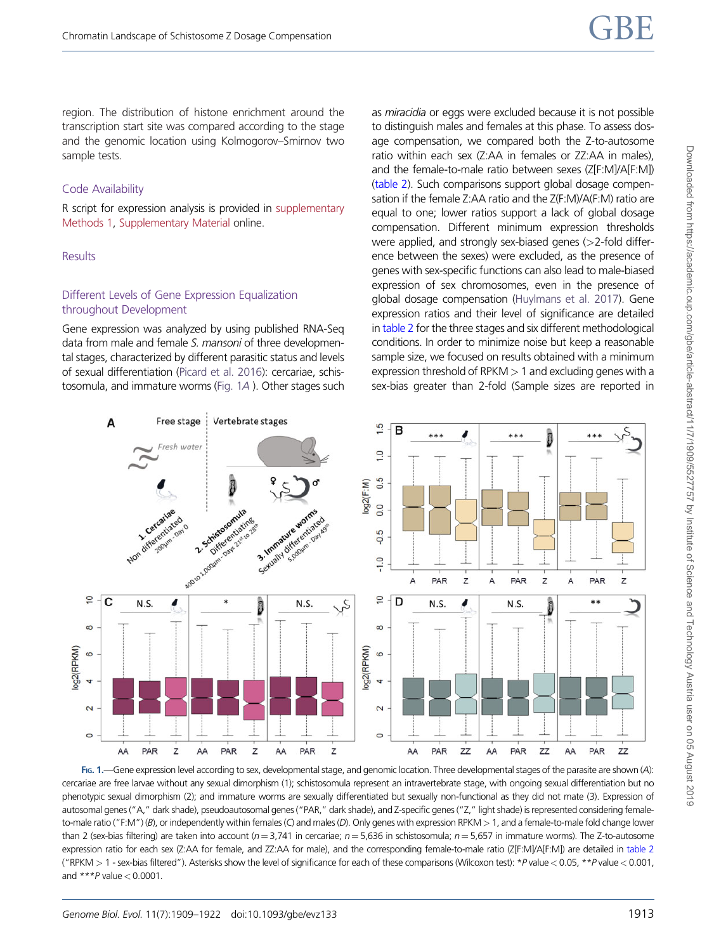<span id="page-4-0"></span>region. The distribution of histone enrichment around the transcription start site was compared according to the stage and the genomic location using Kolmogorov–Smirnov two sample tests.

### Code Availability

R script for expression analysis is provided in [supplementary](https://academic.oup.com/gbe/article-lookup/doi/10.1093/gbe/evz133#supplementary-data) [Methods 1](https://academic.oup.com/gbe/article-lookup/doi/10.1093/gbe/evz133#supplementary-data), [Supplementary Material](https://academic.oup.com/gbe/article-lookup/doi/10.1093/gbe/evz133#supplementary-data) online.

#### **Results**

## Different Levels of Gene Expression Equalization throughout Development

Gene expression was analyzed by using published RNA-Seq data from male and female S. mansoni of three developmental stages, characterized by different parasitic status and levels of sexual differentiation ([Picard et al. 2016\)](#page-12-0): cercariae, schistosomula, and immature worms (Fig. 1A ). Other stages such as miracidia or eggs were excluded because it is not possible to distinguish males and females at this phase. To assess dosage compensation, we compared both the Z-to-autosome ratio within each sex (Z:AA in females or ZZ:AA in males), and the female-to-male ratio between sexes (Z[F:M]/A[F:M]) [\(table 2\)](#page-5-0). Such comparisons support global dosage compensation if the female Z:AA ratio and the Z(F:M)/A(F:M) ratio are equal to one; lower ratios support a lack of global dosage compensation. Different minimum expression thresholds were applied, and strongly sex-biased genes (>2-fold difference between the sexes) were excluded, as the presence of genes with sex-specific functions can also lead to male-biased expression of sex chromosomes, even in the presence of global dosage compensation [\(Huylmans et al. 2017](#page-11-0)). Gene expression ratios and their level of significance are detailed in [table 2](#page-5-0) for the three stages and six different methodological conditions. In order to minimize noise but keep a reasonable sample size, we focused on results obtained with a minimum expression threshold of RPKM  $> 1$  and excluding genes with a sex-bias greater than 2-fold (Sample sizes are reported in



FIG. 1.—Gene expression level according to sex, developmental stage, and genomic location. Three developmental stages of the parasite are shown (A): cercariae are free larvae without any sexual dimorphism (1); schistosomula represent an intravertebrate stage, with ongoing sexual differentiation but no phenotypic sexual dimorphism (2); and immature worms are sexually differentiated but sexually non-functional as they did not mate (3). Expression of autosomal genes ("A," dark shade), pseudoautosomal genes ("PAR," dark shade), and Z-specific genes ("Z," light shade) is represented considering femaleto-male ratio ("F:M") (B), or independently within females (C) and males (D). Only genes with expression RPKM > 1, and a female-to-male fold change lower than 2 (sex-bias filtering) are taken into account ( $n = 3,741$  in cercariae;  $n = 5,636$  in schistosomula;  $n = 5,657$  in immature worms). The Z-to-autosome expression ratio for each sex (Z:AA for female, and ZZ:AA for male), and the corresponding female-to-male ratio (Z[F:M]/A[F:M]) are detailed in [table 2](#page-5-0) ("RPKM > 1 - sex-bias filtered"). Asterisks show the level of significance for each of these comparisons (Wilcoxon test): \*P value< 0.05, \*\*P value< 0.001, and  $***P$  value  $< 0.0001$ .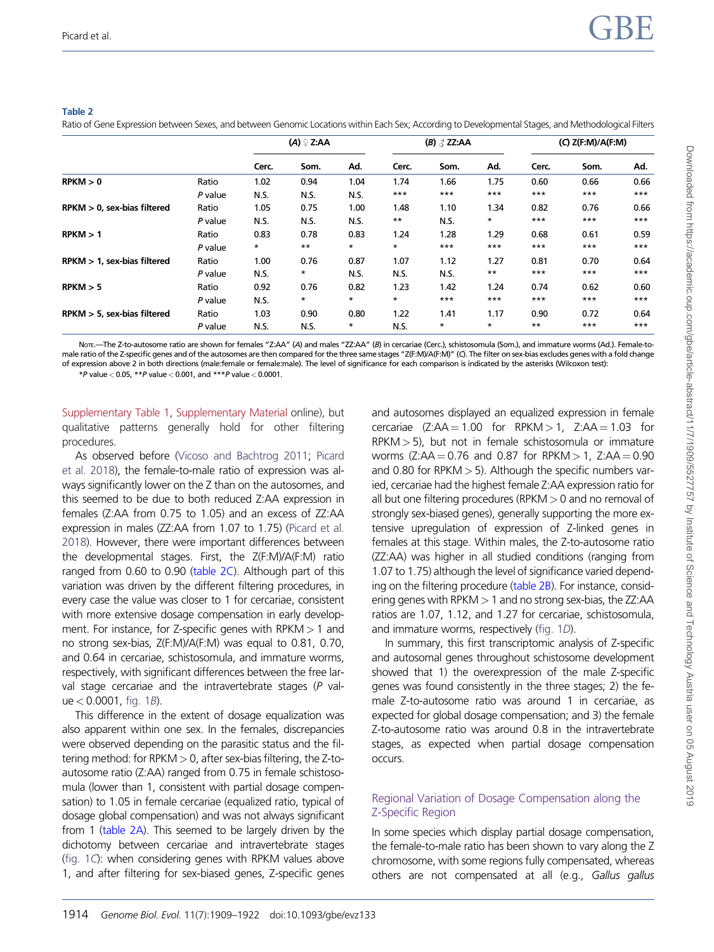#### <span id="page-5-0"></span>Table 2

Ratio of Gene Expression between Sexes, and between Genomic Locations within Each Sex; According to Developmental Stages, and Methodological Filters

|                                |         | $(A)$ $\odot$ Z:AA |       |          | (B) $\land$ ZZ:AA |        |       | (C) Z(F:M)/A(F:M) |       |      |
|--------------------------------|---------|--------------------|-------|----------|-------------------|--------|-------|-------------------|-------|------|
|                                |         | Cerc.              | Som.  | Ad.      | Cerc.             | Som.   | Ad.   | Cerc.             | Som.  | Ad.  |
| RPKM > 0                       | Ratio   | 1.02               | 0.94  | 1.04     | 1.74              | 1.66   | 1.75  | 0.60              | 0.66  | 0.66 |
|                                | P value | N.S.               | N.S.  | N.S.     | $***$             | $***$  | $***$ | $***$             | $***$ | ***  |
| $RPKM > 0$ , sex-bias filtered | Ratio   | 1.05               | 0.75  | 1.00     | 1.48              | 1.10   | 1.34  | 0.82              | 0.76  | 0.66 |
|                                | P value | N.S.               | N.S.  | N.S.     | $***$             | N.S.   | *     | ***               | $***$ | ***  |
| RPKM > 1                       | Ratio   | 0.83               | 0.78  | 0.83     | 1.24              | 1.28   | 1.29  | 0.68              | 0.61  | 0.59 |
|                                | P value | $\ast$             | $***$ | $^\star$ | $^\star$          | $***$  | $***$ | $***$             | $***$ | ***  |
| $RPKM > 1$ , sex-bias filtered | Ratio   | 1.00               | 0.76  | 0.87     | 1.07              | 1.12   | 1.27  | 0.81              | 0.70  | 0.64 |
|                                | P value | N.S.               | *     | N.S.     | N.S.              | N.S.   | $***$ | $***$             | $***$ | ***  |
| RPKM > 5                       | Ratio   | 0.92               | 0.76  | 0.82     | 1.23              | 1.42   | 1.24  | 0.74              | 0.62  | 0.60 |
|                                | P value | N.S.               | *     | $\star$  | $\ast$            | $***$  | $***$ | ***               | $***$ | ***  |
| $RPKM > 5$ , sex-bias filtered | Ratio   | 1.03               | 0.90  | 0.80     | 1.22              | 1.41   | 1.17  | 0.90              | 0.72  | 0.64 |
|                                | P value | N.S.               | N.S.  | $^\star$ | N.S.              | $\ast$ | *     | $***$             | $***$ | ***  |

Nort.—The Z-to-autosome ratio are shown for females "Z:AA" (A) and males "ZZ:AA" (B) in cercariae (Cerc.), schistosomula (Som.), and immature worms (Ad.). Female-tomale ratio of the Z-specific genes and of the autosomes are then compared for the three same stages "Z(F:M)/A(F:M)" (C). The filter on sex-bias excludes genes with a fold change of expression above 2 in both directions (male:female or female:male). The level of significance for each comparison is indicated by the asterisks (Wilcoxon test):

\*P value  $<$  0.05, \*\*P value  $<$  0.001, and \*\*\*P value  $<$  0.0001.

[Supplementary Table 1,](https://academic.oup.com/gbe/article-lookup/doi/10.1093/gbe/evz133#supplementary-data) [Supplementary Material](https://academic.oup.com/gbe/article-lookup/doi/10.1093/gbe/evz133#supplementary-data) online), but qualitative patterns generally hold for other filtering procedures.

As observed before ([Vicoso and Bachtrog 2011](#page-12-0); [Picard](#page-12-0) [et al. 2018\)](#page-12-0), the female-to-male ratio of expression was always significantly lower on the Z than on the autosomes, and this seemed to be due to both reduced Z:AA expression in females (Z:AA from 0.75 to 1.05) and an excess of ZZ:AA expression in males (ZZ:AA from 1.07 to 1.75) [\(Picard et al.](#page-12-0) [2018](#page-12-0)). However, there were important differences between the developmental stages. First, the Z(F:M)/A(F:M) ratio ranged from 0.60 to 0.90 (table 2C). Although part of this variation was driven by the different filtering procedures, in every case the value was closer to 1 for cercariae, consistent with more extensive dosage compensation in early development. For instance, for Z-specific genes with RPKM  $> 1$  and no strong sex-bias, Z(F:M)/A(F:M) was equal to 0.81, 0.70, and 0.64 in cercariae, schistosomula, and immature worms, respectively, with significant differences between the free larval stage cercariae and the intravertebrate stages  $(P$  val $ue < 0.0001$ , [fig. 1](#page-4-0)*B*).

This difference in the extent of dosage equalization was also apparent within one sex. In the females, discrepancies were observed depending on the parasitic status and the filtering method: for RPKM  $>$  0, after sex-bias filtering, the Z-toautosome ratio (Z:AA) ranged from 0.75 in female schistosomula (lower than 1, consistent with partial dosage compensation) to 1.05 in female cercariae (equalized ratio, typical of dosage global compensation) and was not always significant from 1 (table 2A). This seemed to be largely driven by the dichotomy between cercariae and intravertebrate stages [\(fig. 1](#page-4-0)C): when considering genes with RPKM values above 1, and after filtering for sex-biased genes, Z-specific genes and autosomes displayed an equalized expression in female cercariae  $(Z:AA = 1.00$  for RPKM  $> 1$ ,  $Z:AA = 1.03$  for  $RPKM > 5$ ), but not in female schistosomula or immature worms ( $Z:AA = 0.76$  and 0.87 for RPKM $> 1$ ,  $Z:AA = 0.90$ and 0.80 for RPKM  $>$  5). Although the specific numbers varied, cercariae had the highest female Z:AA expression ratio for all but one filtering procedures (RPKM  $> 0$  and no removal of strongly sex-biased genes), generally supporting the more extensive upregulation of expression of Z-linked genes in females at this stage. Within males, the Z-to-autosome ratio (ZZ:AA) was higher in all studied conditions (ranging from 1.07 to 1.75) although the level of significance varied depending on the filtering procedure (table 2B). For instance, considering genes with RPKM  $> 1$  and no strong sex-bias, the ZZ:AA ratios are 1.07, 1.12, and 1.27 for cercariae, schistosomula, and immature worms, respectively [\(fig. 1](#page-4-0)D).

In summary, this first transcriptomic analysis of Z-specific and autosomal genes throughout schistosome development showed that 1) the overexpression of the male Z-specific genes was found consistently in the three stages; 2) the female Z-to-autosome ratio was around 1 in cercariae, as expected for global dosage compensation; and 3) the female Z-to-autosome ratio was around 0.8 in the intravertebrate stages, as expected when partial dosage compensation occurs.

## Regional Variation of Dosage Compensation along the Z-Specific Region

In some species which display partial dosage compensation, the female-to-male ratio has been shown to vary along the Z chromosome, with some regions fully compensated, whereas others are not compensated at all (e.g., Gallus gallus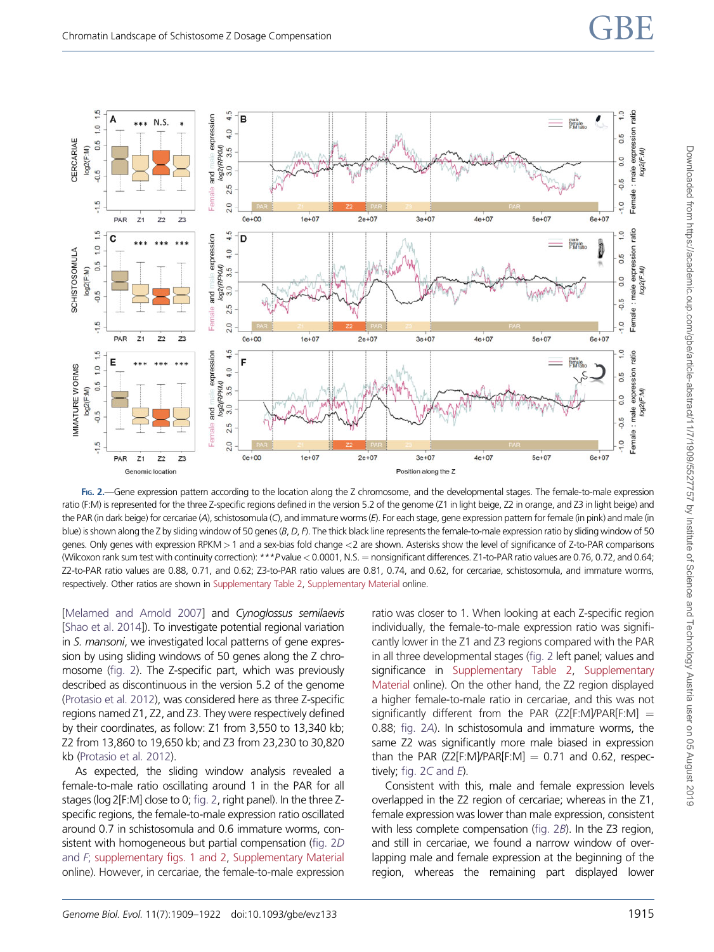<span id="page-6-0"></span>

FIG. 2.—Gene expression pattern according to the location along the Z chromosome, and the developmental stages. The female-to-male expression ratio (F:M) is represented for the three Z-specific regions defined in the version 5.2 of the genome (Z1 in light beige, Z2 in orange, and Z3 in light beige) and the PAR (in dark beige) for cercariae (A), schistosomula (C), and immature worms (E). For each stage, gene expression pattern for female (in pink) and male (in blue) is shown along the Z by sliding window of 50 genes (B, D, F). The thick black line represents the female-to-male expression ratio by sliding window of 50 genes. Only genes with expression RPKM> 1 and a sex-bias fold change <2 are shown. Asterisks show the level of significance of Z-to-PAR comparisons (Wilcoxon rank sum test with continuity correction): \*\*\*P value < 0.0001, N.S. = nonsignificant differences. Z1-to-PAR ratio values are 0.76, 0.72, and 0.64; Z2-to-PAR ratio values are 0.88, 0.71, and 0.62; Z3-to-PAR ratio values are 0.81, 0.74, and 0.62, for cercariae, schistosomula, and immature worms, respectively. Other ratios are shown in [Supplementary Table 2](https://academic.oup.com/gbe/article-lookup/doi/10.1093/gbe/evz133#supplementary-data), [Supplementary Material](https://academic.oup.com/gbe/article-lookup/doi/10.1093/gbe/evz133#supplementary-data) online.

[\[Melamed and Arnold 2007\]](#page-12-0) and Cynoglossus semilaevis [\[Shao et al. 2014](#page-12-0)]). To investigate potential regional variation in S. mansoni, we investigated local patterns of gene expression by using sliding windows of 50 genes along the Z chromosome (fig. 2). The Z-specific part, which was previously described as discontinuous in the version 5.2 of the genome [\(Protasio et al. 2012](#page-12-0)), was considered here as three Z-specific regions named Z1, Z2, and Z3. They were respectively defined by their coordinates, as follow: Z1 from 3,550 to 13,340 kb; Z2 from 13,860 to 19,650 kb; and Z3 from 23,230 to 30,820 kb ([Protasio et al. 2012](#page-12-0)).

As expected, the sliding window analysis revealed a female-to-male ratio oscillating around 1 in the PAR for all stages (log 2[F:M] close to 0; fig. 2, right panel). In the three Zspecific regions, the female-to-male expression ratio oscillated around 0.7 in schistosomula and 0.6 immature worms, consistent with homogeneous but partial compensation (fig. 2D and F; [supplementary figs. 1 and 2,](https://academic.oup.com/gbe/article-lookup/doi/10.1093/gbe/evz133#supplementary-data) [Supplementary Material](https://academic.oup.com/gbe/article-lookup/doi/10.1093/gbe/evz133#supplementary-data) online). However, in cercariae, the female-to-male expression ratio was closer to 1. When looking at each Z-specific region individually, the female-to-male expression ratio was significantly lower in the Z1 and Z3 regions compared with the PAR in all three developmental stages (fig. 2 left panel; values and significance in [Supplementary Table 2](https://academic.oup.com/gbe/article-lookup/doi/10.1093/gbe/evz133#supplementary-data), [Supplementary](https://academic.oup.com/gbe/article-lookup/doi/10.1093/gbe/evz133#supplementary-data) [Material](https://academic.oup.com/gbe/article-lookup/doi/10.1093/gbe/evz133#supplementary-data) online). On the other hand, the Z2 region displayed a higher female-to-male ratio in cercariae, and this was not significantly different from the PAR (Z2[F:M]/PAR[F:M]  $=$ 0.88; fig. 2A). In schistosomula and immature worms, the same Z2 was significantly more male biased in expression than the PAR (Z2[F:M]/PAR[F:M]  $= 0.71$  and 0.62, respectively; fig.  $2C$  and  $E$ ).

Consistent with this, male and female expression levels overlapped in the Z2 region of cercariae; whereas in the Z1, female expression was lower than male expression, consistent with less complete compensation (fig. 2B). In the Z3 region, and still in cercariae, we found a narrow window of overlapping male and female expression at the beginning of the region, whereas the remaining part displayed lower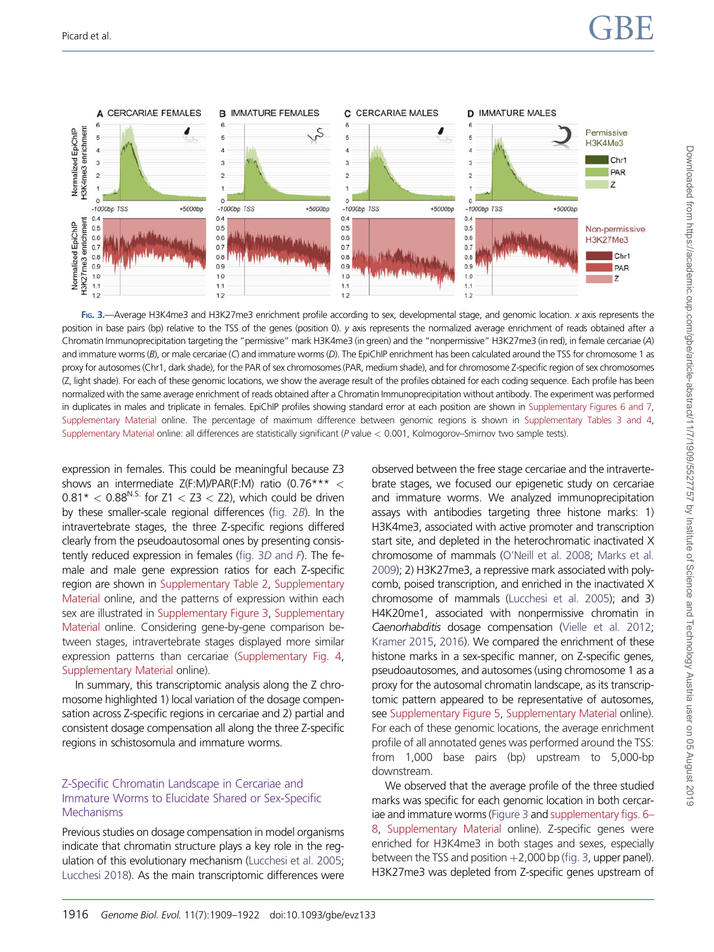<span id="page-7-0"></span>

FIG. 3.—Average H3K4me3 and H3K27me3 enrichment profile according to sex, developmental stage, and genomic location. x axis represents the position in base pairs (bp) relative to the TSS of the genes (position 0). y axis represents the normalized average enrichment of reads obtained after a Chromatin Immunoprecipitation targeting the "permissive" mark H3K4me3 (in green) and the "nonpermissive" H3K27me3 (in red), in female cercariae (A) and immature worms (B), or male cercariae (C) and immature worms (D). The EpiChIP enrichment has been calculated around the TSS for chromosome 1 as proxy for autosomes (Chr1, dark shade), for the PAR of sex chromosomes (PAR, medium shade), and for chromosome Z-specific region of sex chromosomes (Z, light shade). For each of these genomic locations, we show the average result of the profiles obtained for each coding sequence. Each profile has been normalized with the same average enrichment of reads obtained after a Chromatin Immunoprecipitation without antibody. The experiment was performed in duplicates in males and triplicate in females. EpiChIP profiles showing standard error at each position are shown in [Supplementary Figures 6 and 7,](https://academic.oup.com/gbe/article-lookup/doi/10.1093/gbe/evz133#supplementary-data) [Supplementary Material](https://academic.oup.com/gbe/article-lookup/doi/10.1093/gbe/evz133#supplementary-data) online. The percentage of maximum difference between genomic regions is shown in [Supplementary Tables 3 and 4,](https://academic.oup.com/gbe/article-lookup/doi/10.1093/gbe/evz133#supplementary-data) [Supplementary Material](https://academic.oup.com/gbe/article-lookup/doi/10.1093/gbe/evz133#supplementary-data) online: all differences are statistically significant (P value < 0.001, Kolmogorov–Smirnov two sample tests).

expression in females. This could be meaningful because Z3 shows an intermediate Z(F:M)/PAR(F:M) ratio (0.76\*\*\* <  $0.81* < 0.88$ <sup>N.S.</sup> for Z1  $<$  Z3  $<$  Z2), which could be driven by these smaller-scale regional differences [\(fig. 2](#page-6-0)B). In the intravertebrate stages, the three Z-specific regions differed clearly from the pseudoautosomal ones by presenting consistently reduced expression in females (fig. 3D and F). The female and male gene expression ratios for each Z-specific region are shown in [Supplementary Table 2,](https://academic.oup.com/gbe/article-lookup/doi/10.1093/gbe/evz133#supplementary-data) [Supplementary](https://academic.oup.com/gbe/article-lookup/doi/10.1093/gbe/evz133#supplementary-data) [Material](https://academic.oup.com/gbe/article-lookup/doi/10.1093/gbe/evz133#supplementary-data) online, and the patterns of expression within each sex are illustrated in [Supplementary Figure 3,](https://academic.oup.com/gbe/article-lookup/doi/10.1093/gbe/evz133#supplementary-data) [Supplementary](https://academic.oup.com/gbe/article-lookup/doi/10.1093/gbe/evz133#supplementary-data) [Material](https://academic.oup.com/gbe/article-lookup/doi/10.1093/gbe/evz133#supplementary-data) online. Considering gene-by-gene comparison between stages, intravertebrate stages displayed more similar expression patterns than cercariae [\(Supplementary Fig. 4,](https://academic.oup.com/gbe/article-lookup/doi/10.1093/gbe/evz133#supplementary-data) [Supplementary Material](https://academic.oup.com/gbe/article-lookup/doi/10.1093/gbe/evz133#supplementary-data) online).

In summary, this transcriptomic analysis along the Z chromosome highlighted 1) local variation of the dosage compensation across Z-specific regions in cercariae and 2) partial and consistent dosage compensation all along the three Z-specific regions in schistosomula and immature worms.

#### Z-Specific Chromatin Landscape in Cercariae and Immature Worms to Elucidate Shared or Sex-Specific Mechanisms

Previous studies on dosage compensation in model organisms indicate that chromatin structure plays a key role in the regulation of this evolutionary mechanism [\(Lucchesi et al. 2005;](#page-12-0) [Lucchesi 2018](#page-12-0)). As the main transcriptomic differences were observed between the free stage cercariae and the intravertebrate stages, we focused our epigenetic study on cercariae and immature worms. We analyzed immunoprecipitation assays with antibodies targeting three histone marks: 1) H3K4me3, associated with active promoter and transcription start site, and depleted in the heterochromatic inactivated X chromosome of mammals ([O'Neill et al. 2008](#page-12-0); [Marks et al.](#page-12-0) [2009\)](#page-12-0); 2) H3K27me3, a repressive mark associated with polycomb, poised transcription, and enriched in the inactivated X chromosome of mammals [\(Lucchesi et al. 2005](#page-12-0)); and 3) H4K20me1, associated with nonpermissive chromatin in Caenorhabditis dosage compensation [\(Vielle et al. 2012](#page-12-0); [Kramer 2015,](#page-11-0) [2016](#page-12-0)). We compared the enrichment of these histone marks in a sex-specific manner, on Z-specific genes, pseudoautosomes, and autosomes (using chromosome 1 as a proxy for the autosomal chromatin landscape, as its transcriptomic pattern appeared to be representative of autosomes, see [Supplementary Figure 5](https://academic.oup.com/gbe/article-lookup/doi/10.1093/gbe/evz133#supplementary-data), [Supplementary Material](https://academic.oup.com/gbe/article-lookup/doi/10.1093/gbe/evz133#supplementary-data) online). For each of these genomic locations, the average enrichment profile of all annotated genes was performed around the TSS: from 1,000 base pairs (bp) upstream to 5,000-bp downstream.

We observed that the average profile of the three studied marks was specific for each genomic location in both cercariae and immature worms (Figure 3 and [supplementary figs. 6–](https://academic.oup.com/gbe/article-lookup/doi/10.1093/gbe/evz133#supplementary-data) [8](https://academic.oup.com/gbe/article-lookup/doi/10.1093/gbe/evz133#supplementary-data), [Supplementary Material](https://academic.oup.com/gbe/article-lookup/doi/10.1093/gbe/evz133#supplementary-data) online). Z-specific genes were enriched for H3K4me3 in both stages and sexes, especially between the TSS and position  $+2,000$  bp (fig. 3, upper panel). H3K27me3 was depleted from Z-specific genes upstream of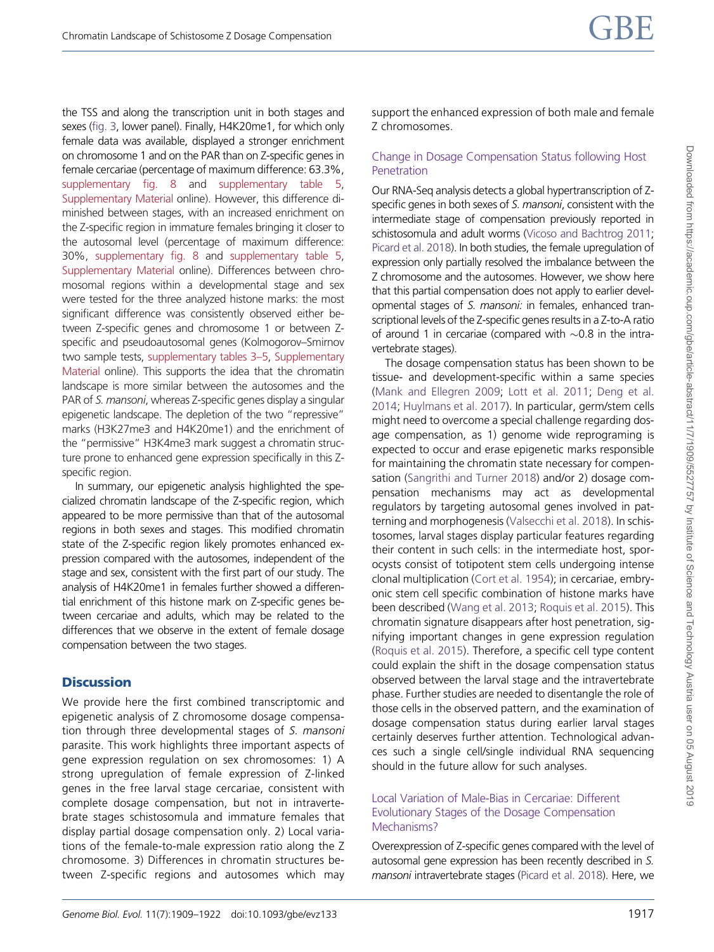the TSS and along the transcription unit in both stages and sexes [\(fig. 3,](#page-7-0) lower panel). Finally, H4K20me1, for which only female data was available, displayed a stronger enrichment on chromosome 1 and on the PAR than on Z-specific genes in female cercariae (percentage of maximum difference: 63.3%, [supplementary fig. 8](https://academic.oup.com/gbe/article-lookup/doi/10.1093/gbe/evz133#supplementary-data) and [supplementary table 5,](https://academic.oup.com/gbe/article-lookup/doi/10.1093/gbe/evz133#supplementary-data) [Supplementary Material](https://academic.oup.com/gbe/article-lookup/doi/10.1093/gbe/evz133#supplementary-data) online). However, this difference diminished between stages, with an increased enrichment on the Z-specific region in immature females bringing it closer to the autosomal level (percentage of maximum difference: 30%, [supplementary fig. 8](https://academic.oup.com/gbe/article-lookup/doi/10.1093/gbe/evz133#supplementary-data) and [supplementary table 5,](https://academic.oup.com/gbe/article-lookup/doi/10.1093/gbe/evz133#supplementary-data) [Supplementary Material](https://academic.oup.com/gbe/article-lookup/doi/10.1093/gbe/evz133#supplementary-data) online). Differences between chromosomal regions within a developmental stage and sex were tested for the three analyzed histone marks: the most significant difference was consistently observed either between Z-specific genes and chromosome 1 or between Zspecific and pseudoautosomal genes (Kolmogorov–Smirnov two sample tests, [supplementary tables 3–5,](https://academic.oup.com/gbe/article-lookup/doi/10.1093/gbe/evz133#supplementary-data) [Supplementary](https://academic.oup.com/gbe/article-lookup/doi/10.1093/gbe/evz133#supplementary-data) [Material](https://academic.oup.com/gbe/article-lookup/doi/10.1093/gbe/evz133#supplementary-data) online). This supports the idea that the chromatin landscape is more similar between the autosomes and the PAR of S. mansoni, whereas Z-specific genes display a singular epigenetic landscape. The depletion of the two "repressive" marks (H3K27me3 and H4K20me1) and the enrichment of the "permissive" H3K4me3 mark suggest a chromatin structure prone to enhanced gene expression specifically in this Zspecific region.

In summary, our epigenetic analysis highlighted the specialized chromatin landscape of the Z-specific region, which appeared to be more permissive than that of the autosomal regions in both sexes and stages. This modified chromatin state of the Z-specific region likely promotes enhanced expression compared with the autosomes, independent of the stage and sex, consistent with the first part of our study. The analysis of H4K20me1 in females further showed a differential enrichment of this histone mark on Z-specific genes between cercariae and adults, which may be related to the differences that we observe in the extent of female dosage compensation between the two stages.

## **Discussion**

We provide here the first combined transcriptomic and epigenetic analysis of Z chromosome dosage compensation through three developmental stages of S. mansoni parasite. This work highlights three important aspects of gene expression regulation on sex chromosomes: 1) A strong upregulation of female expression of Z-linked genes in the free larval stage cercariae, consistent with complete dosage compensation, but not in intravertebrate stages schistosomula and immature females that display partial dosage compensation only. 2) Local variations of the female-to-male expression ratio along the Z chromosome. 3) Differences in chromatin structures between Z-specific regions and autosomes which may support the enhanced expression of both male and female Z chromosomes.

## Change in Dosage Compensation Status following Host Penetration

Our RNA-Seq analysis detects a global hypertranscription of Zspecific genes in both sexes of S. mansoni, consistent with the intermediate stage of compensation previously reported in schistosomula and adult worms [\(Vicoso and Bachtrog 2011](#page-12-0); [Picard et al. 2018](#page-12-0)). In both studies, the female upregulation of expression only partially resolved the imbalance between the Z chromosome and the autosomes. However, we show here that this partial compensation does not apply to earlier developmental stages of S. mansoni: in females, enhanced transcriptional levels of the Z-specific genes results in a Z-to-A ratio of around 1 in cercariae (compared with  $\sim$ 0.8 in the intravertebrate stages).

The dosage compensation status has been shown to be tissue- and development-specific within a same species [\(Mank and Ellegren 2009](#page-12-0); [Lott et al. 2011](#page-12-0); [Deng et al.](#page-11-0) [2014](#page-11-0); [Huylmans et al. 2017](#page-11-0)). In particular, germ/stem cells might need to overcome a special challenge regarding dosage compensation, as 1) genome wide reprograming is expected to occur and erase epigenetic marks responsible for maintaining the chromatin state necessary for compensation [\(Sangrithi and Turner 2018\)](#page-12-0) and/or 2) dosage compensation mechanisms may act as developmental regulators by targeting autosomal genes involved in patterning and morphogenesis [\(Valsecchi et al. 2018\)](#page-12-0). In schistosomes, larval stages display particular features regarding their content in such cells: in the intermediate host, sporocysts consist of totipotent stem cells undergoing intense clonal multiplication [\(Cort et al. 1954](#page-11-0)); in cercariae, embryonic stem cell specific combination of histone marks have been described [\(Wang et al. 2013;](#page-13-0) [Roquis et al. 2015\)](#page-12-0). This chromatin signature disappears after host penetration, signifying important changes in gene expression regulation [\(Roquis et al. 2015](#page-12-0)). Therefore, a specific cell type content could explain the shift in the dosage compensation status observed between the larval stage and the intravertebrate phase. Further studies are needed to disentangle the role of those cells in the observed pattern, and the examination of dosage compensation status during earlier larval stages certainly deserves further attention. Technological advances such a single cell/single individual RNA sequencing should in the future allow for such analyses.

### Local Variation of Male-Bias in Cercariae: Different Evolutionary Stages of the Dosage Compensation Mechanisms?

Overexpression of Z-specific genes compared with the level of autosomal gene expression has been recently described in S. mansoni intravertebrate stages ([Picard et al. 2018\)](#page-12-0). Here, we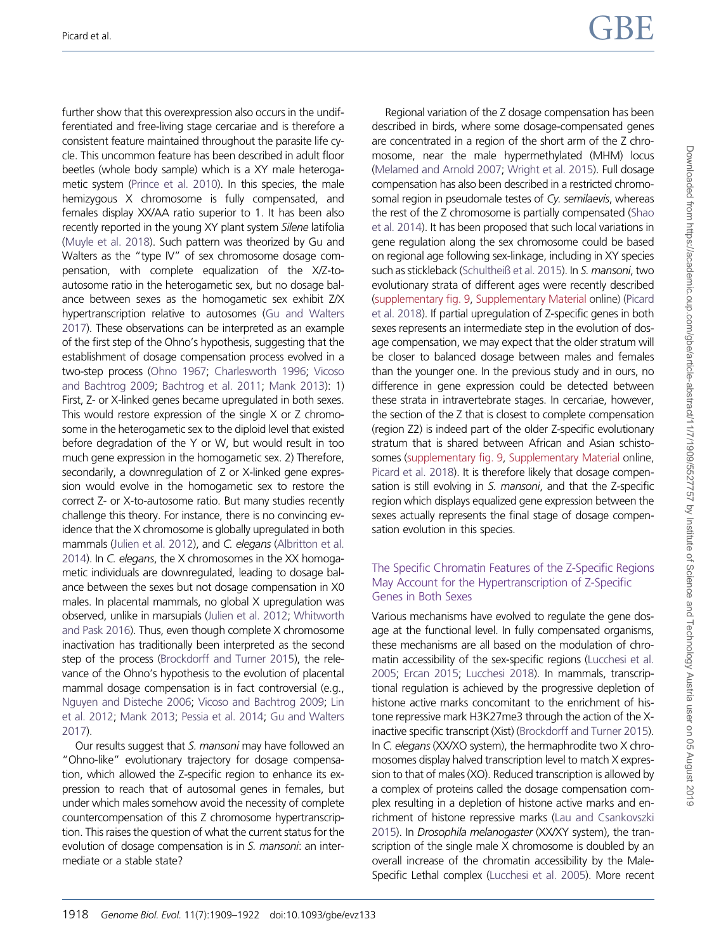further show that this overexpression also occurs in the undifferentiated and free-living stage cercariae and is therefore a consistent feature maintained throughout the parasite life cycle. This uncommon feature has been described in adult floor beetles (whole body sample) which is a XY male heterogametic system ([Prince et al. 2010](#page-12-0)). In this species, the male hemizygous X chromosome is fully compensated, and females display XX/AA ratio superior to 1. It has been also recently reported in the young XY plant system Silene latifolia [\(Muyle et al. 2018\)](#page-12-0). Such pattern was theorized by Gu and Walters as the "type IV" of sex chromosome dosage compensation, with complete equalization of the X/Z-toautosome ratio in the heterogametic sex, but no dosage balance between sexes as the homogametic sex exhibit Z/X hypertranscription relative to autosomes [\(Gu and Walters](#page-11-0) [2017\)](#page-11-0). These observations can be interpreted as an example of the first step of the Ohno's hypothesis, suggesting that the establishment of dosage compensation process evolved in a two-step process ([Ohno 1967](#page-12-0); [Charlesworth 1996](#page-11-0); [Vicoso](#page-12-0) [and Bachtrog 2009](#page-12-0); [Bachtrog et al. 2011](#page-11-0); [Mank 2013\)](#page-12-0): 1) First, Z- or X-linked genes became upregulated in both sexes. This would restore expression of the single X or Z chromosome in the heterogametic sex to the diploid level that existed before degradation of the Y or W, but would result in too much gene expression in the homogametic sex. 2) Therefore, secondarily, a downregulation of Z or X-linked gene expression would evolve in the homogametic sex to restore the correct Z- or X-to-autosome ratio. But many studies recently challenge this theory. For instance, there is no convincing evidence that the X chromosome is globally upregulated in both mammals ([Julien et al. 2012](#page-11-0)), and C. elegans [\(Albritton et al.](#page-11-0) [2014\)](#page-11-0). In C. elegans, the X chromosomes in the XX homogametic individuals are downregulated, leading to dosage balance between the sexes but not dosage compensation in X0 males. In placental mammals, no global X upregulation was observed, unlike in marsupials [\(Julien et al. 2012;](#page-11-0) [Whitworth](#page-13-0) [and Pask 2016\)](#page-13-0). Thus, even though complete X chromosome inactivation has traditionally been interpreted as the second step of the process [\(Brockdorff and Turner 2015\)](#page-11-0), the relevance of the Ohno's hypothesis to the evolution of placental mammal dosage compensation is in fact controversial (e.g., [Nguyen and Disteche 2006](#page-12-0); [Vicoso and Bachtrog 2009](#page-12-0); [Lin](#page-12-0) [et al. 2012;](#page-12-0) [Mank 2013;](#page-12-0) [Pessia et al. 2014;](#page-12-0) [Gu and Walters](#page-11-0) [2017\)](#page-11-0).

Our results suggest that S. mansoni may have followed an "Ohno-like" evolutionary trajectory for dosage compensation, which allowed the Z-specific region to enhance its expression to reach that of autosomal genes in females, but under which males somehow avoid the necessity of complete countercompensation of this Z chromosome hypertranscription. This raises the question of what the current status for the evolution of dosage compensation is in S. mansoni: an intermediate or a stable state?

Regional variation of the Z dosage compensation has been described in birds, where some dosage-compensated genes are concentrated in a region of the short arm of the Z chromosome, near the male hypermethylated (MHM) locus [\(Melamed and Arnold 2007](#page-12-0); [Wright et al. 2015\)](#page-13-0). Full dosage compensation has also been described in a restricted chromosomal region in pseudomale testes of Cy. semilaevis, whereas the rest of the Z chromosome is partially compensated ([Shao](#page-12-0) [et al. 2014\)](#page-12-0). It has been proposed that such local variations in gene regulation along the sex chromosome could be based on regional age following sex-linkage, including in XY species such as stickleback [\(Schultheiß et al. 2015\)](#page-12-0). In S. mansoni, two evolutionary strata of different ages were recently described [\(supplementary fig. 9](https://academic.oup.com/gbe/article-lookup/doi/10.1093/gbe/evz133#supplementary-data), [Supplementary Material](https://academic.oup.com/gbe/article-lookup/doi/10.1093/gbe/evz133#supplementary-data) online) ([Picard](#page-12-0) [et al. 2018\)](#page-12-0). If partial upregulation of Z-specific genes in both sexes represents an intermediate step in the evolution of dosage compensation, we may expect that the older stratum will be closer to balanced dosage between males and females than the younger one. In the previous study and in ours, no difference in gene expression could be detected between these strata in intravertebrate stages. In cercariae, however, the section of the Z that is closest to complete compensation (region Z2) is indeed part of the older Z-specific evolutionary stratum that is shared between African and Asian schistosomes ([supplementary fig. 9,](https://academic.oup.com/gbe/article-lookup/doi/10.1093/gbe/evz133#supplementary-data) [Supplementary Material](https://academic.oup.com/gbe/article-lookup/doi/10.1093/gbe/evz133#supplementary-data) online, [Picard et al. 2018\)](#page-12-0). It is therefore likely that dosage compensation is still evolving in S. mansoni, and that the Z-specific region which displays equalized gene expression between the sexes actually represents the final stage of dosage compensation evolution in this species.

## The Specific Chromatin Features of the Z-Specific Regions May Account for the Hypertranscription of Z-Specific Genes in Both Sexes

Various mechanisms have evolved to regulate the gene dosage at the functional level. In fully compensated organisms, these mechanisms are all based on the modulation of chromatin accessibility of the sex-specific regions ([Lucchesi et al.](#page-12-0) [2005;](#page-12-0) [Ercan 2015;](#page-11-0) [Lucchesi 2018\)](#page-12-0). In mammals, transcriptional regulation is achieved by the progressive depletion of histone active marks concomitant to the enrichment of histone repressive mark H3K27me3 through the action of the Xinactive specific transcript (Xist) ([Brockdorff and Turner 2015\)](#page-11-0). In C. elegans (XX/XO system), the hermaphrodite two X chromosomes display halved transcription level to match X expression to that of males (XO). Reduced transcription is allowed by a complex of proteins called the dosage compensation complex resulting in a depletion of histone active marks and enrichment of histone repressive marks [\(Lau and Csankovszki](#page-12-0) [2015\)](#page-12-0). In Drosophila melanogaster (XX/XY system), the transcription of the single male X chromosome is doubled by an overall increase of the chromatin accessibility by the Male-Specific Lethal complex ([Lucchesi et al. 2005](#page-12-0)). More recent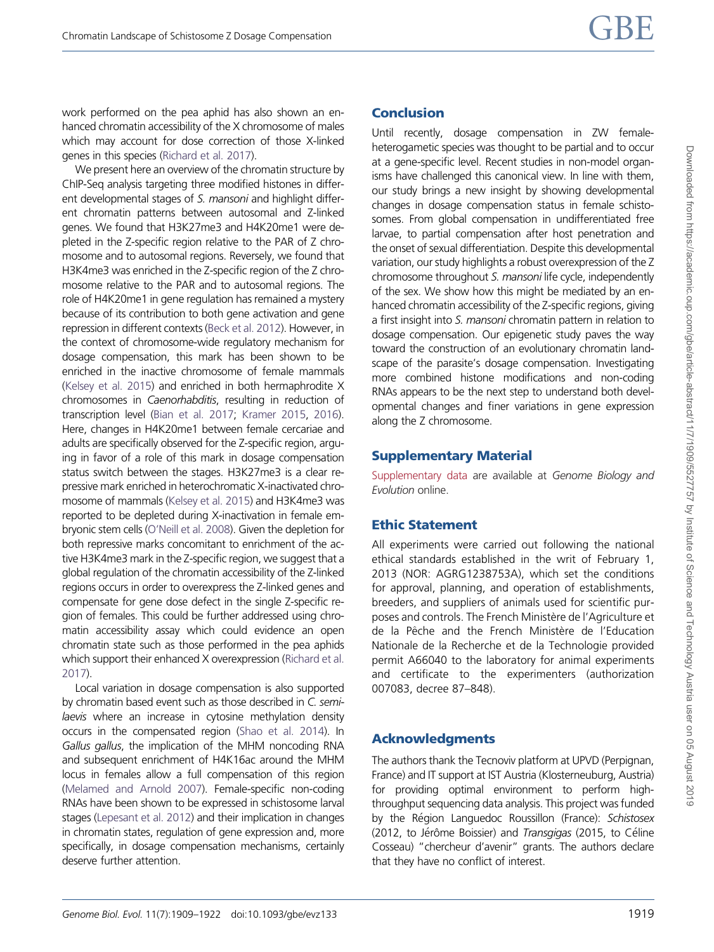work performed on the pea aphid has also shown an enhanced chromatin accessibility of the X chromosome of males which may account for dose correction of those X-linked genes in this species ([Richard et al. 2017\)](#page-12-0).

We present here an overview of the chromatin structure by ChIP-Seq analysis targeting three modified histones in different developmental stages of S. mansoni and highlight different chromatin patterns between autosomal and Z-linked genes. We found that H3K27me3 and H4K20me1 were depleted in the Z-specific region relative to the PAR of Z chromosome and to autosomal regions. Reversely, we found that H3K4me3 was enriched in the Z-specific region of the Z chromosome relative to the PAR and to autosomal regions. The role of H4K20me1 in gene regulation has remained a mystery because of its contribution to both gene activation and gene repression in different contexts [\(Beck et al. 2012](#page-11-0)). However, in the context of chromosome-wide regulatory mechanism for dosage compensation, this mark has been shown to be enriched in the inactive chromosome of female mammals [\(Kelsey et al. 2015](#page-11-0)) and enriched in both hermaphrodite X chromosomes in Caenorhabditis, resulting in reduction of transcription level [\(Bian et al. 2017;](#page-11-0) [Kramer 2015](#page-11-0), [2016](#page-12-0)). Here, changes in H4K20me1 between female cercariae and adults are specifically observed for the Z-specific region, arguing in favor of a role of this mark in dosage compensation status switch between the stages. H3K27me3 is a clear repressive mark enriched in heterochromatic X-inactivated chromosome of mammals ([Kelsey et al. 2015\)](#page-11-0) and H3K4me3 was reported to be depleted during X-inactivation in female embryonic stem cells [\(O'Neill et al. 2008\)](#page-12-0). Given the depletion for both repressive marks concomitant to enrichment of the active H3K4me3 mark in the Z-specific region, we suggest that a global regulation of the chromatin accessibility of the Z-linked regions occurs in order to overexpress the Z-linked genes and compensate for gene dose defect in the single Z-specific region of females. This could be further addressed using chromatin accessibility assay which could evidence an open chromatin state such as those performed in the pea aphids which support their enhanced X overexpression [\(Richard et al.](#page-12-0) [2017](#page-12-0)).

Local variation in dosage compensation is also supported by chromatin based event such as those described in C. semilaevis where an increase in cytosine methylation density occurs in the compensated region [\(Shao et al. 2014](#page-12-0)). In Gallus gallus, the implication of the MHM noncoding RNA and subsequent enrichment of H4K16ac around the MHM locus in females allow a full compensation of this region [\(Melamed and Arnold 2007](#page-12-0)). Female-specific non-coding RNAs have been shown to be expressed in schistosome larval stages [\(Lepesant et al. 2012](#page-12-0)) and their implication in changes in chromatin states, regulation of gene expression and, more specifically, in dosage compensation mechanisms, certainly deserve further attention.

## Conclusion

Until recently, dosage compensation in ZW femaleheterogametic species was thought to be partial and to occur at a gene-specific level. Recent studies in non-model organisms have challenged this canonical view. In line with them, our study brings a new insight by showing developmental changes in dosage compensation status in female schistosomes. From global compensation in undifferentiated free larvae, to partial compensation after host penetration and the onset of sexual differentiation. Despite this developmental variation, our study highlights a robust overexpression of the Z chromosome throughout S. mansoni life cycle, independently of the sex. We show how this might be mediated by an enhanced chromatin accessibility of the Z-specific regions, giving a first insight into S. mansoni chromatin pattern in relation to dosage compensation. Our epigenetic study paves the way toward the construction of an evolutionary chromatin landscape of the parasite's dosage compensation. Investigating more combined histone modifications and non-coding RNAs appears to be the next step to understand both developmental changes and finer variations in gene expression along the Z chromosome.

## Supplementary Material

[Supplementary data](https://academic.oup.com/gbe/article-lookup/doi/10.1093/gbe/evz133#supplementary-data) are available at Genome Biology and Evolution online.

## Ethic Statement

All experiments were carried out following the national ethical standards established in the writ of February 1, 2013 (NOR: AGRG1238753A), which set the conditions for approval, planning, and operation of establishments, breeders, and suppliers of animals used for scientific purposes and controls. The French Ministère de l'Agriculture et de la Pêche and the French Ministère de l'Education Nationale de la Recherche et de la Technologie provided permit A66040 to the laboratory for animal experiments and certificate to the experimenters (authorization 007083, decree 87–848).

## Acknowledgments

The authors thank the Tecnoviv platform at UPVD (Perpignan, France) and IT support at IST Austria (Klosterneuburg, Austria) for providing optimal environment to perform highthroughput sequencing data analysis. This project was funded by the Région Languedoc Roussillon (France): Schistosex (2012, to Jérôme Boissier) and Transgigas (2015, to Céline Cosseau) "chercheur d'avenir" grants. The authors declare that they have no conflict of interest.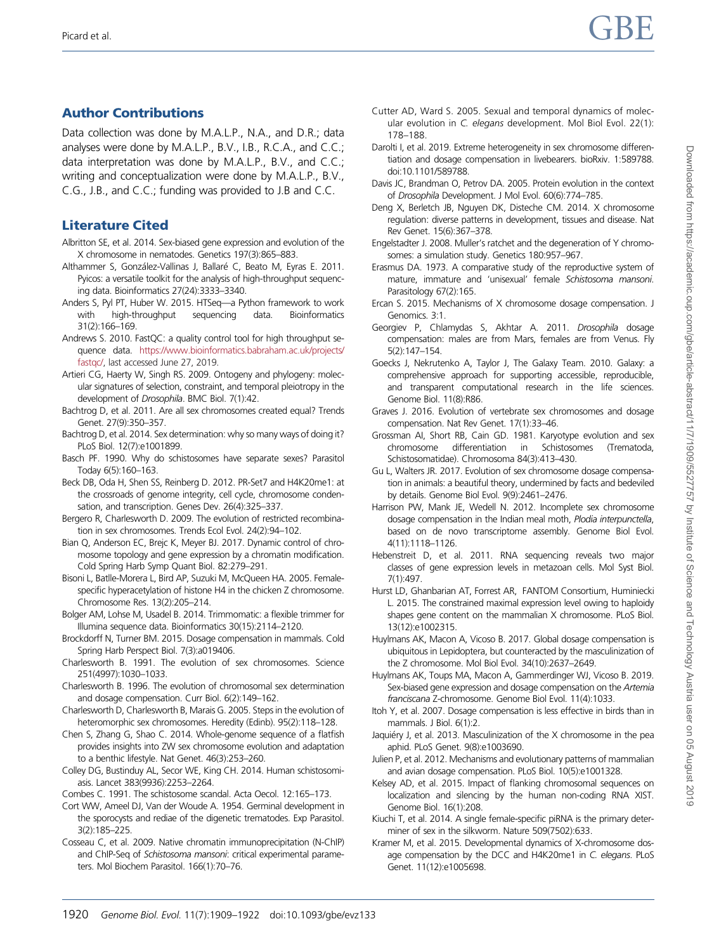## <span id="page-11-0"></span>Author Contributions

Data collection was done by M.A.L.P., N.A., and D.R.; data analyses were done by M.A.L.P., B.V., I.B., R.C.A., and C.C.; data interpretation was done by M.A.L.P., B.V., and C.C.; writing and conceptualization were done by M.A.L.P., B.V., C.G., J.B., and C.C.; funding was provided to J.B and C.C.

## Literature Cited

- Albritton SE, et al. 2014. Sex-biased gene expression and evolution of the X chromosome in nematodes. Genetics 197(3):865–883.
- Althammer S, González-Vallinas J, Ballaré C, Beato M, Eyras E. 2011. Pyicos: a versatile toolkit for the analysis of high-throughput sequencing data. Bioinformatics 27(24):3333–3340.
- Anders S, Pyl PT, Huber W. 2015. HTSeq—a Python framework to work with high-throughput sequencing data. Bioinformatics 31(2):166–169.
- Andrews S. 2010. FastQC: a quality control tool for high throughput sequence data. [https://www.bioinformatics.babraham.ac.uk/projects/](https://www.bioinformatics.babraham.ac.uk/projects/fastqc/) [fastqc/](https://www.bioinformatics.babraham.ac.uk/projects/fastqc/), last accessed June 27, 2019.
- Artieri CG, Haerty W, Singh RS. 2009. Ontogeny and phylogeny: molecular signatures of selection, constraint, and temporal pleiotropy in the development of Drosophila. BMC Biol. 7(1):42.
- Bachtrog D, et al. 2011. Are all sex chromosomes created equal? Trends Genet. 27(9):350–357.
- Bachtrog D, et al. 2014. Sex determination: why so many ways of doing it? PLoS Biol. 12(7):e1001899.
- Basch PF. 1990. Why do schistosomes have separate sexes? Parasitol Today 6(5):160–163.
- Beck DB, Oda H, Shen SS, Reinberg D. 2012. PR-Set7 and H4K20me1: at the crossroads of genome integrity, cell cycle, chromosome condensation, and transcription. Genes Dev. 26(4):325–337.
- Bergero R, Charlesworth D. 2009. The evolution of restricted recombination in sex chromosomes. Trends Ecol Evol. 24(2):94–102.
- Bian Q, Anderson EC, Brejc K, Meyer BJ. 2017. Dynamic control of chromosome topology and gene expression by a chromatin modification. Cold Spring Harb Symp Quant Biol. 82:279–291.
- Bisoni L, Batlle-Morera L, Bird AP, Suzuki M, McQueen HA. 2005. Femalespecific hyperacetylation of histone H4 in the chicken Z chromosome. Chromosome Res. 13(2):205–214.
- Bolger AM, Lohse M, Usadel B. 2014. Trimmomatic: a flexible trimmer for Illumina sequence data. Bioinformatics 30(15):2114–2120.
- Brockdorff N, Turner BM. 2015. Dosage compensation in mammals. Cold Spring Harb Perspect Biol. 7(3):a019406.
- Charlesworth B. 1991. The evolution of sex chromosomes. Science 251(4997):1030–1033.
- Charlesworth B. 1996. The evolution of chromosomal sex determination and dosage compensation. Curr Biol. 6(2):149–162.
- Charlesworth D, Charlesworth B, Marais G. 2005. Steps in the evolution of heteromorphic sex chromosomes. Heredity (Edinb). 95(2):118–128.
- Chen S, Zhang G, Shao C. 2014. Whole-genome sequence of a flatfish provides insights into ZW sex chromosome evolution and adaptation to a benthic lifestyle. Nat Genet. 46(3):253–260.
- Colley DG, Bustinduy AL, Secor WE, King CH. 2014. Human schistosomiasis. Lancet 383(9936):2253–2264.
- Combes C. 1991. The schistosome scandal. Acta Oecol. 12:165–173.
- Cort WW, Ameel DJ, Van der Woude A. 1954. Germinal development in the sporocysts and rediae of the digenetic trematodes. Exp Parasitol. 3(2):185–225.
- Cosseau C, et al. 2009. Native chromatin immunoprecipitation (N-ChIP) and ChIP-Seq of Schistosoma mansoni: critical experimental parameters. Mol Biochem Parasitol. 166(1):70–76.
- Cutter AD, Ward S. 2005. Sexual and temporal dynamics of molecular evolution in C. elegans development. Mol Biol Evol. 22(1): 178–188.
- Darolti I, et al. 2019. Extreme heterogeneity in sex chromosome differentiation and dosage compensation in livebearers. bioRxiv. 1:589788. doi:10.1101/589788.
- Davis JC, Brandman O, Petrov DA. 2005. Protein evolution in the context of Drosophila Development. J Mol Evol. 60(6):774–785.
- Deng X, Berletch JB, Nguyen DK, Disteche CM. 2014. X chromosome regulation: diverse patterns in development, tissues and disease. Nat Rev Genet. 15(6):367–378.
- Engelstadter J. 2008. Muller's ratchet and the degeneration of Y chromosomes: a simulation study. Genetics 180:957–967.
- Erasmus DA. 1973. A comparative study of the reproductive system of mature, immature and 'unisexual' female Schistosoma mansoni. Parasitology 67(2):165.
- Ercan S. 2015. Mechanisms of X chromosome dosage compensation. J Genomics. 3:1.
- Georgiev P, Chlamydas S, Akhtar A. 2011. Drosophila dosage compensation: males are from Mars, females are from Venus. Fly 5(2):147–154.
- Goecks J, Nekrutenko A, Taylor J, The Galaxy Team. 2010. Galaxy: a comprehensive approach for supporting accessible, reproducible, and transparent computational research in the life sciences. Genome Biol. 11(8):R86.
- Graves J. 2016. Evolution of vertebrate sex chromosomes and dosage compensation. Nat Rev Genet. 17(1):33–46.
- Grossman AI, Short RB, Cain GD. 1981. Karyotype evolution and sex chromosome differentiation in Schistosomes (Trematoda, Schistosomatidae). Chromosoma 84(3):413–430.
- Gu L, Walters JR. 2017. Evolution of sex chromosome dosage compensation in animals: a beautiful theory, undermined by facts and bedeviled by details. Genome Biol Evol. 9(9):2461–2476.
- Harrison PW, Mank JE, Wedell N. 2012. Incomplete sex chromosome dosage compensation in the Indian meal moth, Plodia interpunctella, based on de novo transcriptome assembly. Genome Biol Evol. 4(11):1118–1126.
- Hebenstreit D, et al. 2011. RNA sequencing reveals two major classes of gene expression levels in metazoan cells. Mol Syst Biol. 7(1):497.
- Hurst LD, Ghanbarian AT, Forrest AR, FANTOM Consortium, Huminiecki L. 2015. The constrained maximal expression level owing to haploidy shapes gene content on the mammalian X chromosome. PLoS Biol. 13(12):e1002315.
- Huylmans AK, Macon A, Vicoso B. 2017. Global dosage compensation is ubiquitous in Lepidoptera, but counteracted by the masculinization of the Z chromosome. Mol Biol Evol. 34(10):2637–2649.
- Huylmans AK, Toups MA, Macon A, Gammerdinger WJ, Vicoso B. 2019. Sex-biased gene expression and dosage compensation on the Artemia franciscana Z-chromosome. Genome Biol Evol. 11(4):1033.
- Itoh Y, et al. 2007. Dosage compensation is less effective in birds than in mammals. J Biol. 6(1):2.
- Jaquiéry J, et al. 2013. Masculinization of the X chromosome in the pea aphid. PLoS Genet. 9(8):e1003690.
- Julien P, et al. 2012. Mechanisms and evolutionary patterns of mammalian and avian dosage compensation. PLoS Biol. 10(5):e1001328.
- Kelsey AD, et al. 2015. Impact of flanking chromosomal sequences on localization and silencing by the human non-coding RNA XIST. Genome Biol. 16(1):208.
- Kiuchi T, et al. 2014. A single female-specific piRNA is the primary determiner of sex in the silkworm. Nature 509(7502):633.
- Kramer M, et al. 2015. Developmental dynamics of X-chromosome dosage compensation by the DCC and H4K20me1 in C. elegans. PLoS Genet. 11(12):e1005698.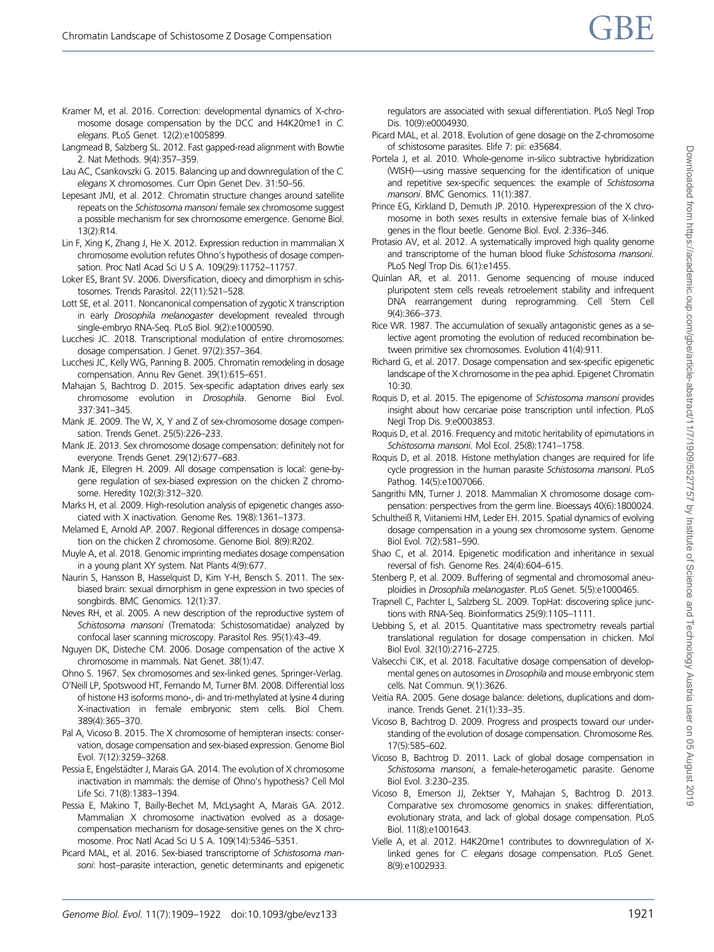- <span id="page-12-0"></span>Kramer M, et al. 2016. Correction: developmental dynamics of X-chromosome dosage compensation by the DCC and H4K20me1 in C. elegans. PLoS Genet. 12(2):e1005899.
- Langmead B, Salzberg SL. 2012. Fast gapped-read alignment with Bowtie 2. Nat Methods. 9(4):357–359.
- Lau AC, Csankovszki G. 2015. Balancing up and downregulation of the C. elegans X chromosomes. Curr Opin Genet Dev. 31:50–56.
- Lepesant JMJ, et al. 2012. Chromatin structure changes around satellite repeats on the Schistosoma mansoni female sex chromosome suggest a possible mechanism for sex chromosome emergence. Genome Biol. 13(2):R14.
- Lin F, Xing K, Zhang J, He X. 2012. Expression reduction in mammalian X chromosome evolution refutes Ohno's hypothesis of dosage compensation. Proc Natl Acad Sci U S A. 109(29):11752–11757.
- Loker ES, Brant SV. 2006. Diversification, dioecy and dimorphism in schistosomes. Trends Parasitol. 22(11):521–528.
- Lott SE, et al. 2011. Noncanonical compensation of zygotic X transcription in early Drosophila melanogaster development revealed through single-embryo RNA-Seq. PLoS Biol. 9(2):e1000590.
- Lucchesi JC. 2018. Transcriptional modulation of entire chromosomes: dosage compensation. J Genet. 97(2):357–364.
- Lucchesi JC, Kelly WG, Panning B. 2005. Chromatin remodeling in dosage compensation. Annu Rev Genet. 39(1):615–651.
- Mahajan S, Bachtrog D. 2015. Sex-specific adaptation drives early sex chromosome evolution in Drosophila. Genome Biol Evol. 337:341–345.
- Mank JE. 2009. The W, X, Y and Z of sex-chromosome dosage compensation. Trends Genet. 25(5):226–233.
- Mank JE. 2013. Sex chromosome dosage compensation: definitely not for everyone. Trends Genet. 29(12):677–683.
- Mank JE, Ellegren H. 2009. All dosage compensation is local: gene-bygene regulation of sex-biased expression on the chicken Z chromosome. Heredity 102(3):312–320.
- Marks H, et al. 2009. High-resolution analysis of epigenetic changes associated with X inactivation. Genome Res. 19(8):1361–1373.
- Melamed E, Arnold AP. 2007. Regional differences in dosage compensation on the chicken Z chromosome. Genome Biol. 8(9):R202.
- Muyle A, et al. 2018. Genomic imprinting mediates dosage compensation in a young plant XY system. Nat Plants 4(9):677.
- Naurin S, Hansson B, Hasselquist D, Kim Y-H, Bensch S. 2011. The sexbiased brain: sexual dimorphism in gene expression in two species of songbirds. BMC Genomics. 12(1):37.
- Neves RH, et al. 2005. A new description of the reproductive system of Schistosoma mansoni (Trematoda: Schistosomatidae) analyzed by confocal laser scanning microscopy. Parasitol Res. 95(1):43–49.
- Nguyen DK, Disteche CM. 2006. Dosage compensation of the active X chromosome in mammals. Nat Genet. 38(1):47.
- Ohno S. 1967. Sex chromosomes and sex-linked genes. Springer-Verlag.
- O'Neill LP, Spotswood HT, Fernando M, Turner BM. 2008. Differential loss of histone H3 isoforms mono-, di- and tri-methylated at lysine 4 during X-inactivation in female embryonic stem cells. Biol Chem. 389(4):365–370.
- Pal A, Vicoso B. 2015. The X chromosome of hemipteran insects: conservation, dosage compensation and sex-biased expression. Genome Biol Evol. 7(12):3259–3268.
- Pessia E, Engelstädter J, Marais GA. 2014. The evolution of X chromosome inactivation in mammals: the demise of Ohno's hypothesis? Cell Mol Life Sci. 71(8):1383–1394.
- Pessia E, Makino T, Bailly-Bechet M, McLysaght A, Marais GA. 2012. Mammalian X chromosome inactivation evolved as a dosagecompensation mechanism for dosage-sensitive genes on the X chromosome. Proc Natl Acad Sci U S A. 109(14):5346–5351.
- Picard MAL, et al. 2016. Sex-biased transcriptome of Schistosoma mansoni: host-parasite interaction, genetic determinants and epigenetic

regulators are associated with sexual differentiation. PLoS Negl Trop Dis. 10(9):e0004930.

- Picard MAL, et al. 2018. Evolution of gene dosage on the Z-chromosome of schistosome parasites. Elife 7: pii: e35684.
- Portela J, et al. 2010. Whole-genome in-silico subtractive hybridization (WISH)—using massive sequencing for the identification of unique and repetitive sex-specific sequences: the example of Schistosoma mansoni. BMC Genomics. 11(1):387.
- Prince EG, Kirkland D, Demuth JP. 2010. Hyperexpression of the X chromosome in both sexes results in extensive female bias of X-linked genes in the flour beetle. Genome Biol. Evol. 2:336–346.
- Protasio AV, et al. 2012. A systematically improved high quality genome and transcriptome of the human blood fluke Schistosoma mansoni. PLoS Negl Trop Dis. 6(1):e1455.
- Quinlan AR, et al. 2011. Genome sequencing of mouse induced pluripotent stem cells reveals retroelement stability and infrequent DNA rearrangement during reprogramming. Cell Stem Cell 9(4):366–373.
- Rice WR. 1987. The accumulation of sexually antagonistic genes as a selective agent promoting the evolution of reduced recombination between primitive sex chromosomes. Evolution 41(4):911.
- Richard G, et al. 2017. Dosage compensation and sex-specific epigenetic landscape of the X chromosome in the pea aphid. Epigenet Chromatin 10:30.
- Roquis D, et al. 2015. The epigenome of Schistosoma mansoni provides insight about how cercariae poise transcription until infection. PLoS Negl Trop Dis. 9:e0003853.
- Roquis D, et al. 2016. Frequency and mitotic heritability of epimutations in Schistosoma mansoni. Mol Ecol. 25(8):1741–1758.
- Roquis D, et al. 2018. Histone methylation changes are required for life cycle progression in the human parasite Schistosoma mansoni. PLoS Pathog. 14(5):e1007066.
- Sangrithi MN, Turner J. 2018. Mammalian X chromosome dosage compensation: perspectives from the germ line. Bioessays 40(6):1800024.
- Schultheiß R, Viitaniemi HM, Leder EH. 2015. Spatial dynamics of evolving dosage compensation in a young sex chromosome system. Genome Biol Evol. 7(2):581–590.
- Shao C, et al. 2014. Epigenetic modification and inheritance in sexual reversal of fish. Genome Res. 24(4):604–615.
- Stenberg P, et al. 2009. Buffering of segmental and chromosomal aneuploidies in Drosophila melanogaster. PLoS Genet. 5(5):e1000465.
- Trapnell C, Pachter L, Salzberg SL. 2009. TopHat: discovering splice junctions with RNA-Seq. Bioinformatics 25(9):1105–1111.
- Uebbing S, et al. 2015. Quantitative mass spectrometry reveals partial translational regulation for dosage compensation in chicken. Mol Biol Evol. 32(10):2716–2725.
- Valsecchi CIK, et al. 2018. Facultative dosage compensation of developmental genes on autosomes in Drosophila and mouse embryonic stem cells. Nat Commun. 9(1):3626.
- Veitia RA. 2005. Gene dosage balance: deletions, duplications and dominance. Trends Genet. 21(1):33–35.
- Vicoso B, Bachtrog D. 2009. Progress and prospects toward our understanding of the evolution of dosage compensation. Chromosome Res. 17(5):585–602.
- Vicoso B, Bachtrog D. 2011. Lack of global dosage compensation in Schistosoma mansoni, a female-heterogametic parasite. Genome Biol Evol. 3:230–235.
- Vicoso B, Emerson JJ, Zektser Y, Mahajan S, Bachtrog D. 2013. Comparative sex chromosome genomics in snakes: differentiation, evolutionary strata, and lack of global dosage compensation. PLoS Biol. 11(8):e1001643.
- Vielle A, et al. 2012. H4K20me1 contributes to downregulation of Xlinked genes for C. elegans dosage compensation. PLoS Genet. 8(9):e1002933.